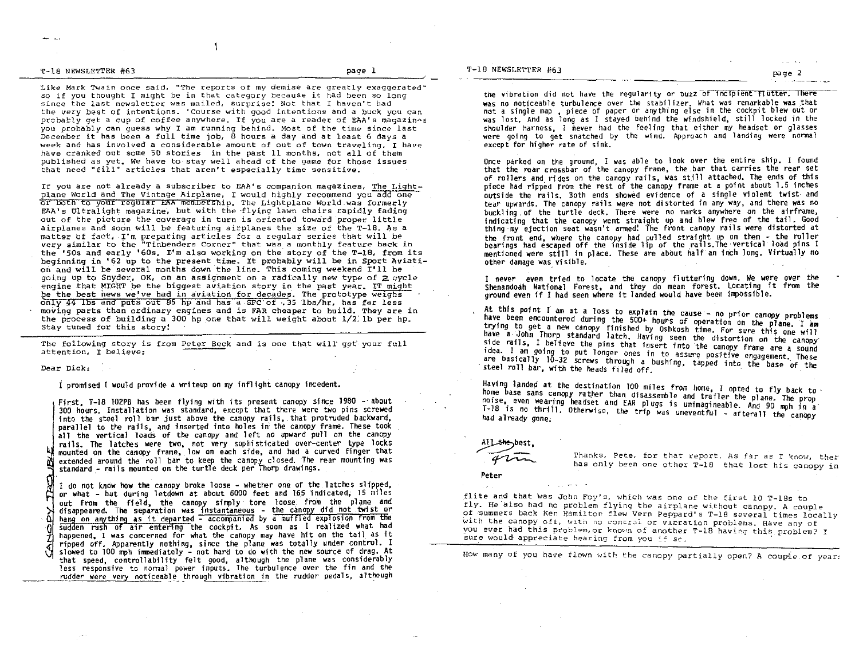T-18 NEWSLETTER #63 page I

Like Mark Twain once said. "The reports of my demise are greatly exaggerated" so if you thought I might be in that category because it had been so long since the last newsletter was mailed. surprise! Not that r haven't had the very best of intentions. 'Course with good intentions and a buck you can probably get a cup of coffee anywhere. If you are a reader of EAA's magazines you probably can guess why I am running behind. Most of the time since last December it has been a full time job, B hours a day and at least 6 days a week and has involved a considerable amount of out of town traveling. I have have cranked out some 50 stories in the past 11 months, not all of them published as yet. We have to stay well ahead of the game for those issues that need "fill" articles that aren't especially time sensitive.

J.

If you are not already a subscriber to EAA's companion magazines, The Lightplane World and The Vintage Airplane. I would highly recommend you add one or bOth to your regular EAA membership. The Lightplane World.was formerly EAA's Ultralight magazine. but with the -flying lawn chairs rapidly fading out of the picture the coverage in turn is oriented toward proper little airplanes and soon will be featuring airplanes the size of the T-18. As a matter of fact, I'm preparing articles for a regular series that will be very similar to the "Tinbenders Corner" that was a monthly feature back in the '50s and early '60s. I'm also working on the story of the T-18, from its beginning in '62 up to the present time. It probably will be in sport Aviation and will be several months down the line. This coming weekend I'll be going up to Snyder, OK, on an assignment on a radically new type of 2 cycle engine that MIGHT be the biggest aviation story in the past year. IT might be the best news we've had in aviation for decades. The prototype weighs only 44 lbs and puts out 85 hp and has a SFC of .35 lbs/hr, has far less moving parts than ordinary engines and is FAR cheaper to build. They are in the process of building a 300 hp one that will weight about 1/2: lb per hp. stay tuned for this story!

The following story is from Peter Beck and is one that will get your full attention, I believe:

Dear Dick:

I promised I would provide a writeup on my inflight canopy incedent.

all the vertical loads of the canopy and left no upward pull on the canopy<br>rails. The latches were two, not very sophisticated over-center type locks<br>we mounted on the canopy frame, low on each side, and had a curved finge First, T-1B 102PB has been flying with its present canopy since 1980 -' about 300 hours. Installation was standard, except that there were two pins screwed into the steel roll bar just above the canopy rails, that protruded backward, parallel to the rails, and inserted into holes in: the canopy frame. These took rails. The latches were two, not very sophisticated over-center type locks mounted on the canopy frame, low on each side, and had a curved finger that extended around the roll bar to keep the canopy closed. The rear mounting was standard - rails mounted on the turtle deck per Thorp drawings.

I do not know how the canopy broke loose - whether one of the latches slipped, or what - but during letdown at about 6000 feet and 165 indicated. 15 miles out from the field, the canopy simply tore loose\_ from the plane and disappeared. The separation was instantaneous - the canopy did not twist or hang on anything as it departed - accompanied by a muffled explosion from the sudden rush of air entering the cockpit. As soon as I realized what had happened, I was concerned for what the canopy may have hit on the tail as it ripped off. Apparently nothing, since the plane was totally under control. I slowed to 100 mph immediately - not hard to do with the new source of drag. At that speed, controllability felt good, although the plane was considerably<br>less responsive to normal power inputs. The turbulence over the fin and the rudder were very noticeable through vibration in the rudder pedals, although

the vibration did not have the regularity or buzz of incipient flutter. There was no noticeable turbulence over the stabil izer. What was remarkable was that not a single map, piece of paper or anything else in the cockpit blew out or was lost. And as long as I stayed behind the windshield, still locked in the shoulder harness. I never had the feeling that either my headset or were going to get snatched by the wind. Approach and landing were normal except for higher rate of sink.

Once parked on the ground, I was able to look over the entire ship. I found that the rear crossbar of the canopy frame, the bar that carries the rear set of rollers and rides on the canopy rails, was still attached. The ends of this piece had ripped from the rest of the canopy frame at a point about 1.5 inches outside the rails. Both ends showed evidence of a single violent twist and<br>tear upwards. The canopy rails were not distorted in any way, and there was no buckling of the turtle deck. There were no marks anywhere on the airframe, indicating that the canopy went straight up and blew free of the tai1. Good thing ·my ejection seat wasn't armed! The front canopy rails were distorted at the front end, where the canopy had pulled straight up on them - the roller<br>bearings had escaped off the inside lip of the rails.The vertical load pins I mentioned were still in place. These are about half an inch long. Virtually no other damage was visible.

I never even tried to locate the canopy fluttering down. We were over the Shenandoah National Forest, and they do mean forest. locating it from the ground even if I had seen where it landed would have been impossible.

At this point I am at a loss to explain the cause - no prior canopy problems<br>have been encountered during the 500+ hours of operation on the plane. I am<br>trying to get a new canopy finished by Oshkosh time. For sure this on have a John Thorp standard latch. Having seen the distortion on the cancer. side rails. I believe the pins that insert into the canopy frame are a sound<br>idea. I am going to put longer ones in to assure positive engagement. These are basically 10-32 screws through a bushing, tapped into the base of the<br>steel roll bar, with the heads filed off

Having landed at the destination 100 miles from home, I opted to fly back to home base sans canopy rather than disassemble and trailer the plane. The prop noise, even wearing headset and EAR plugs is unimagineable. And 90 mph in a steel roll bar, with the heads filed off.<br>Having landed at the destination 100 miles from home, I opted to fly back to<br>home base sans canopy rather than disassemble and trailer the plane. The prop<br>noise, even wearing heads



the best,<br>Thanks, Pete, for that report. As far as I know, ther<br>intervals and the part one other T-18 that lost his canopy in

Peter

flite and that was John Foy's, which was one of the first 10 T-18s to fly. He also had no problem flying the airplane without canopy. A couple of 'Sllmmers back Ken Hamiltop flew Vern Peppard's T-lB several times locally with the canopy off, with no control or vieration problems. Have any of you ever had this problem, or known of another T-18 having this problem? I sure would appreciate hearing from you if sc.

How many of you have flown with the canopy partially open? A couple of year: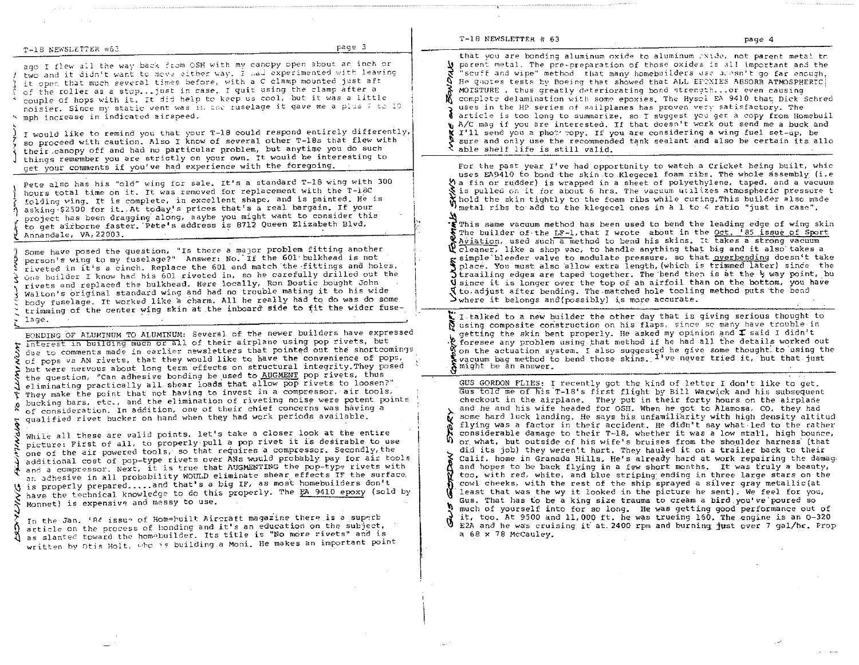|   | page 3.<br>T-18 NEWSLETTER #63                                                                                                                                                                                                                                                                                                                                                                                                                                                                                                                                                                                                                                                                                                                                                                                                                                                                                                                                                                                                                                                                                                                                                                                                                                                                                                                                                                                                                                                                                                                                                                                |                                                                                                                                                                                                                                                                                                                                                                                                                                                                                                                                                                                                                                                                                                                                                                                                                                                                                                                                                                                                                                                                                                                                                                                                                                                                                                                                                                                                                                                                                                                                                                                                                                                                                                                                                                                                                                                                                                            |  |
|---|---------------------------------------------------------------------------------------------------------------------------------------------------------------------------------------------------------------------------------------------------------------------------------------------------------------------------------------------------------------------------------------------------------------------------------------------------------------------------------------------------------------------------------------------------------------------------------------------------------------------------------------------------------------------------------------------------------------------------------------------------------------------------------------------------------------------------------------------------------------------------------------------------------------------------------------------------------------------------------------------------------------------------------------------------------------------------------------------------------------------------------------------------------------------------------------------------------------------------------------------------------------------------------------------------------------------------------------------------------------------------------------------------------------------------------------------------------------------------------------------------------------------------------------------------------------------------------------------------------------|------------------------------------------------------------------------------------------------------------------------------------------------------------------------------------------------------------------------------------------------------------------------------------------------------------------------------------------------------------------------------------------------------------------------------------------------------------------------------------------------------------------------------------------------------------------------------------------------------------------------------------------------------------------------------------------------------------------------------------------------------------------------------------------------------------------------------------------------------------------------------------------------------------------------------------------------------------------------------------------------------------------------------------------------------------------------------------------------------------------------------------------------------------------------------------------------------------------------------------------------------------------------------------------------------------------------------------------------------------------------------------------------------------------------------------------------------------------------------------------------------------------------------------------------------------------------------------------------------------------------------------------------------------------------------------------------------------------------------------------------------------------------------------------------------------------------------------------------------------------------------------------------------------|--|
|   | ago I flew all the way back from OSH with my canopy open about an inch or<br>two and it didn't want to move either way. I had experimented with leaving<br>it open that much several times before, with a C clamp mounted just aft<br>of the roller as a stop just in case. I quit using the clamp after a<br>couple of hops with it. It did help to keep us cool, but it was a little<br>noisier. Since my static vent was in the ruselage it gave me a plus 7 to 10<br>h mph increase in indicated airspeed.<br>I would like to remind you that your T-18 could respond entirely differently,<br>so proceed with caution. Also I know of several other T-18s that flew with<br>their canopy off and had no particular problem, but anytime you do such<br>things remember you are strictly on your own. It would be interesting to                                                                                                                                                                                                                                                                                                                                                                                                                                                                                                                                                                                                                                                                                                                                                                          | that you are bonding aluminum oxide to aluminum rxide, not parent metal to<br>${\bf y}$ parent metal. The pre-preparation of those oxides is all important and the<br>"scuff and wipe" method that many homebuilders use icesn't go far encugh;<br>He quotes tests by Boeing that showed that ALL EFTXIES ABSORB ATMOSPHERIC<br>MOISTURE, thus greatly deteriorating bond strength or even causing<br>complete delamination with some epoxies. The Hysol EA 9410 that Dick Schred<br>uses in the HP series of sailplanes has proven very satisfactory. The<br>article is too long to summarize, so I suggest you get a copy from Homebuil<br>A/C mag if you are interested. If that doesn't work out send me a buck and<br>I'll send you a phot topy. If you are considering a wing fuel set-up, be<br>sure and only use the recommended tank sealant and also be certain its allo<br>able shelf life is still valid.                                                                                                                                                                                                                                                                                                                                                                                                                                                                                                                                                                                                                                                                                                                                                                                                                                                                                                                                                                                      |  |
|   | get your comments if you've had experience with the foregoing.<br>Pete also has his "old" wing for sale. It's a standard T-18 wing with 300<br>hours total time on it. It was removed for replacement with the T-18C<br>folding wing. It is complete, in excellent shape, and is painted. He is<br>asking \$2500 for it. At today's prices that's a real bargain. If your<br>project has been dragging along, naybe you might want to consider this<br>to get airborne faster. Pete's address is 8712 Queen Elizabeth Blvd,<br>Annandale, VA, 22003.<br>Some have posed the question, "Is there a major problem fitting another<br>person's wing to my fuselage?" Answer: No. If the 601 bulkhead is not<br>riveted in it's a cinch. Replace the 601 and match the fittings and holes.<br>One builder I know had his 601 riveted in, so he carefully drilled out the<br>rivets and replaced the bulkhead. Here locally, Ron Bostic bought John<br>Walton's original standard wing and had no trouble mating it to his wide<br>body fuselage. It worked like a charm. All he really had to do was do some<br>trimming of the center wing skin at the inboard side to fit the wider fuse-<br>lage.<br>BONDING OF ALUMINUM TO ALUMINUM: Several of the newer builders have expressed<br>interest in building much or all of their airplane using pop rivets, but<br>due to comments made in earlier newsletters that pointed out the shortcomings<br>of pops vs AN rivets, that they would like to have the convenience of pops,<br>but were nervous about long term effects on structural integrity. They posed | For the past year I've had opportunity to watch a Cricket being built, whic<br>uses EA9410 to bond the skin to Klegecel foam ribs. The whole assembly (i.e<br>the fin or rudder) is wrapped in a sheet of polyethylene, taped, and a vacuum<br>${\mathcal{S}}$ is pulled on it for about 6 hrs. The vacuum utilizes atmospheric pressure t<br>X hold the skin tightly to the foam ribs while curing. This builder also made<br>Whetal ribs to add to the klegecel ones in a 1 to 4 ratio "just in case".<br>'€ This same vacuum method has been used to bend the leading edge of wing skin<br>S The builder of the LF-1, that I wrote about in the Oct. '85 issue of Sport<br>Aviation, used such a method to bend his skins. It takes a strong vacuum<br>$\mathbf{\Psi}$ cleaner, like a shop vac, to handle anything that big and it also takes a<br>g simple bleeder valve to modulate pressure, so that <u>overbending</u> doesn't take<br>place. You must also allow extra length, (which is trimmed later) since the<br>) traailing edges are taped together. The bend then is at the $\frac{1}{2}$ way point, bu<br><b>V</b> since it is longer over the top of an airfoil than on the bottom, you have<br>${\mathcal{R}}$ to adjust after bending. The matched hole tooling method puts the bend<br>$\rightarrow$ where it belongs and (possibly) is more accurate.<br>$\mathbf x$ I talked to a new builder the other day that is giving serious thought to<br>pusing composite construction on his flaps, since so many have trouble in<br>getting the skin bent properly. He asked my opinion and I said I didn't<br>R foresee any problem using that method if he had all the details worked out<br>on the actuation system. I also suggested he give some thought to using the<br>vacuum bag method to bend those skins. <sup>I've</sup> never tried it, but that just<br>might be an answer. |  |
| т | the question, "Can adhesive bonding be used to AUGMENT pop rivets, thus<br>eliminating practically all shear loads that allow pop rivets to loosen?"<br>They make the point that not having to invest in a compressor, air tools,<br>bucking bars, etc., and the elimination of riveting noise were potent points<br>of consideration. In addition, one of their chief concerns was having a<br>qualified rivet bucker on hand when they had work periods available.<br>While all these are valid points, let's take a closer look at the entire<br>picture: First of all, to properly pull a pop rivet it is desirable to use<br>one of the air powered tools, so that requires a compressor. Secondly, the<br>additional cost of pop-type rivets over ANs would probably pay for air tools<br>and a compressor. Next, it is true that AUGMENTING the pop-type rivets with<br>an achesive in all probability WOULD eliminate shear effects IF the surface.<br>is properly preparedand that's a big IF, as most homebuilders don't<br>have the technical knowledge to do this properly. The EA 9410 epoxy (sold by<br>Monnet) is expensive and messy to use.<br>In the Jan. 'Ad issue of Homebuilt Aircraft magazine there is a superb<br>article on the process of bonding and it's an education on the subject.<br>A as slanted toward the homobuilder. Its title is "No more rivets" and is<br>written by Otis Holt, who is building a Moni. He makes an important point                                                                                                                                   | GUS GORDON FLIES: I recently got the kind of letter I don't like to get.<br>Gus told me of his T-18's first flight by Bill Warwick and his subsequent<br>checkout in the airplane. They put in their forty hours on the airplane<br>and he and his wife headed for OSH. When he got to Alamosa, CO, they had<br>some hard luck landing. He says his unfamiliarity with high density altitud<br>flying was a factor in their accident. He didn't say what led to the rather<br>considerable damage to their T-18, whether it was a low stall, high bounce,<br>or what, but outside of his wife's bruises from the shoulder harness (that<br>did its job) they weren't hurt. They hauled it on a trailer back to their<br>Calif. home in Granada Hills. He's already hard at work repairing the damage<br>and hopes to be back flying in a few short months. It was fruly a beauty,<br>too, with red, white, and blue striping ending in three large stars on the<br>cowl cheeks, with the rest of the ship sprayed a silver gray metallic(at<br>least that was the wy it looked in the picture he sent). We feel for you,<br>Gus. That has to be a king size trauma to cream a bird you ve poured so<br>much of yourself into for so long. He was getting good performance out of<br>it, too. At 9500 and 11,000 ft. he was trueing 160. The engine is an 0-320<br>E2A and he was cruising it at 2400 rpm and burning just over 7 gal/hr. Prop<br>a 68 x 78 McCauley.                                                                                                                                                                                                                                                                                                                                                                                                                                       |  |
|   |                                                                                                                                                                                                                                                                                                                                                                                                                                                                                                                                                                                                                                                                                                                                                                                                                                                                                                                                                                                                                                                                                                                                                                                                                                                                                                                                                                                                                                                                                                                                                                                                               |                                                                                                                                                                                                                                                                                                                                                                                                                                                                                                                                                                                                                                                                                                                                                                                                                                                                                                                                                                                                                                                                                                                                                                                                                                                                                                                                                                                                                                                                                                                                                                                                                                                                                                                                                                                                                                                                                                            |  |
|   |                                                                                                                                                                                                                                                                                                                                                                                                                                                                                                                                                                                                                                                                                                                                                                                                                                                                                                                                                                                                                                                                                                                                                                                                                                                                                                                                                                                                                                                                                                                                                                                                               |                                                                                                                                                                                                                                                                                                                                                                                                                                                                                                                                                                                                                                                                                                                                                                                                                                                                                                                                                                                                                                                                                                                                                                                                                                                                                                                                                                                                                                                                                                                                                                                                                                                                                                                                                                                                                                                                                                            |  |

 $T-18$  NEWSLETTER # 63

page 4

 $\mathcal{A}$ 

 $\mathcal{L}_{\mathcal{A}}$  , and the contract of the contract of the contract of the contract contract of the contract of the contract of the contract of the contract of the contract of the contract of the contract of the contract of

 $\mathcal{L}^{\text{max}}_{\text{max}}$ 

 $\sim 10^{-1}$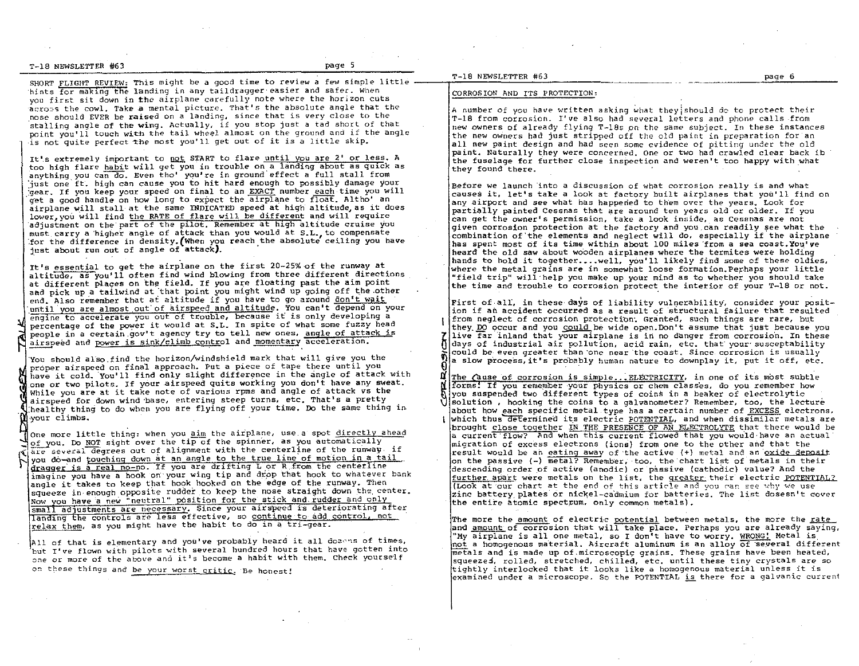T-18 NEWSLETTER #63 page 5

SHORT FLIGHT REVIEW: This might be a good time to review a few simple little hints for making the landing in any tail dragger easier and safer. When you first sit down in the airplane carefully note where the horizon cuts acrops the cowl. Take a mental picture. That's the absolute angle that the nose should EVER be raised on a landing, since that is *very* close to the stalling angle of the wing. Actually, if you stop just a tad short of that point you'll touch with the tail wheel almost on the ground and if the angle is not quite perfect the most you'll get out of it is a little skip.

It's extremely important to not START to flare until you are 2' or less. A too high flare habit will get you in trouble on a landing about as quick as anything you can do. Even tho' you're in ground effect a full stall from just one ft. high can cause you to hit hard enough to possibly damage your gear. If you keep your speed on final to an EXACT number each time you will get a good handle on how long to expect the airplane to float. Altho' an airplane will stall at the same INDICATED speed at high altitude, as it does lower, you will find the RATE of flare will be different and will require adjustment on the' part of the p110t. Remember at high altitude cruise you must, carry a 'highe'r angle of attack than you would at S.L. to compensate for the difference in density. (When you reach the absolute ceiling you have just about run out of angle of attack).

It's essential to get the airplane on the first 20-25% of the runway at altitude, as you'll often find wind blowing from three different directions at different places on the field. If you are floating past the aim point aad pick up a tailwind at that point you might wind up going off the other end. Also remember that at altitude if you have to go around don't wait until you are almost out of airspeed and altitude. You can't depend on your engine to accelerate you out of trouble, because it is only developing a percentage of the power it would at S.L. In spite of what some fuzzy head people in a certain gov't agency try to tell new ones, angle of attack is airspeed and power is sink/climb control and momentary acceleration.

You should also find the horizon/windshield mark that will give you the proper airspeed on fina'l approach. Put a piece of tape there until you have it cold. You'll find only slight difference in the angle of attack with one or two pilots. If your airspeed quits working you don't have any sweat. While you are at it take note of various rpms and angle of attack vs the airspeed for down wind 'base, entering steep turns, etc. That's a pretty :healthy thing to do when you are flying off your time. Do the same thing in. your climbs.

One more little thing: when you aim the airplane, use a spot directly ahead of you. Do NOT sight over the tip of the spinner, as you automatically  $\overline{arc}$  several degrees out of alignment with the centerline of the runway, if you do-and touching down at an angle to the true line of motion in a tail dragger is a real no-no. If you are drifting L or R from the centerline imagine you have a hook on your wing tip and drop that hook to whatever bank angle it takes to keep that hook hooked on the edge of the runway. Then squeeze in enough opposite rudder to keep the nose straight down the center. Now you have a new "neutral" position for the stick and rudder and only small adjustments are necessary. Since your airspeed is deteriorating after landing the controls are less effective, so continue to add control, not relax them, as you might have the habit to do in a tri-gear.

All of that is elementary and you've probably heard it all dozens of times, but I've flown with pilots with several hundred hours that have gotten into one or more of the above and it<sup>1</sup>s become a habit with them. Check yourself on these things and be your worst critic. Be honest!

#### T-l8 NEWSLETTER #63 page 6

#### CORROSION AND ITS PROTECTION:

A number of you have written asking what they should de to protect their T-18 from corrosion. I've also had several letters and phone calls from new owners of already flying T-18s on the same subject. In these instances the new owners had just stripped off the old paint in preparation for an all new paint design and had seen some evidence of pitting under the old paint. Naturally they were concerned. One or two had crawled clear back ib the fuselage for further close inspection and weren't too happy with what they found there.

Before we launch into a discussion of what corrosion really is and what causes it, let's take a look at factory built airplanes that you'll find on any airport and see what has happened to them over the years. Look for partially painted Cessnas that are around ten years old or older. If you can get the owner's permission, take a look inside, as Cessnas are not given corrosion protection at the factory and you can readily see what the combination of ' the elements and neglect will do, especially if the airplane has spent most of its time within about 100 miles 'from a sea coast. You've heard the old saw about wooden airplanes where the termites were holding hands to hold it together....well, you'll likely find some of these oldies, where the metal grains are in somewhat loose formation.Perhaps your little "field trip" will help you make up your mind as to whether you should take *the* time and trouble to corrosion protect, the intetior of your T-18 or not.

First of all, in these days of liability vulnerability, consider your position if an accident occurred as a result of 'structural failure that resulted from neglect of corrosion protection. Granted, such things are rare, but<br>they DO occur and you could be wide open.Don't assume that just because you 7 live far inland that your airplane is in no danger from corrosion. In these Q days of industrial air pollution, acid rain, etc. that· your' susceptability could be even greater than one near the coast. Since corrosion is usually  $\{a \text{ slow process}, it's probably human nature to downplay it, put it off, etc.}$ 

**a** The Cause of corrosion is simple...ELECTRICITY, in one of its most subtle<br>**A** forms! If you remember your physics or chem classes, do you remember how we consider the physics or chem classes, do you remember how<br>
you suspended two different types of coins in a beaker of electrolytic<br>  $\sqrt{\frac{1}{2}}$  solution , hooking the coins to a galvanometer? Remember, too, the lecture you suspended two different types of coins in a beaker of electrolytic about how each specific metal type has a certain number of EXCESS electrons, I which thus determined its electric POTENTIAL, and when dissimilar metals are brought close together IN THE PRESENCE OF AN ELECTROLYTE that there would be a current flow? And when this current flowed that you would have an actual migration of excess electrons (ions) from one to the other and that the result would be an eating away of the active (+) metal and an oxide deposit on the passive (-) metal? Remember, too, the chart list of metals in their descending order of active (anodic) or passive (cathodic) value? And the further apart were metals on the list, the greater their electric POTENTIAL? (Look at our chart at the end of this article and you can see why we use zinc battery plates or nickel-cadmium for batteries. The list dosesn't cover the entire atomic spectrum, only common metals).

The more the amount of electric potential between metals, the more the rate and amount of corrosion that will take place. Perhaps you are already saying, "My airplane is all one metal, so I don't have to worry. WRONG! Metal is not a homogenous material. Aircraft aluminum is an alloy of 'several different  $m$ etals and is made up of microscopic grains. These grains have been heated, squeezes, rolled, stretched, chilled, etc. until these tiny crystals are so tightly interlocked that it looks like a homogenous material unless it is examined under a microscope. So the POTENTIAL is there for a galvanic current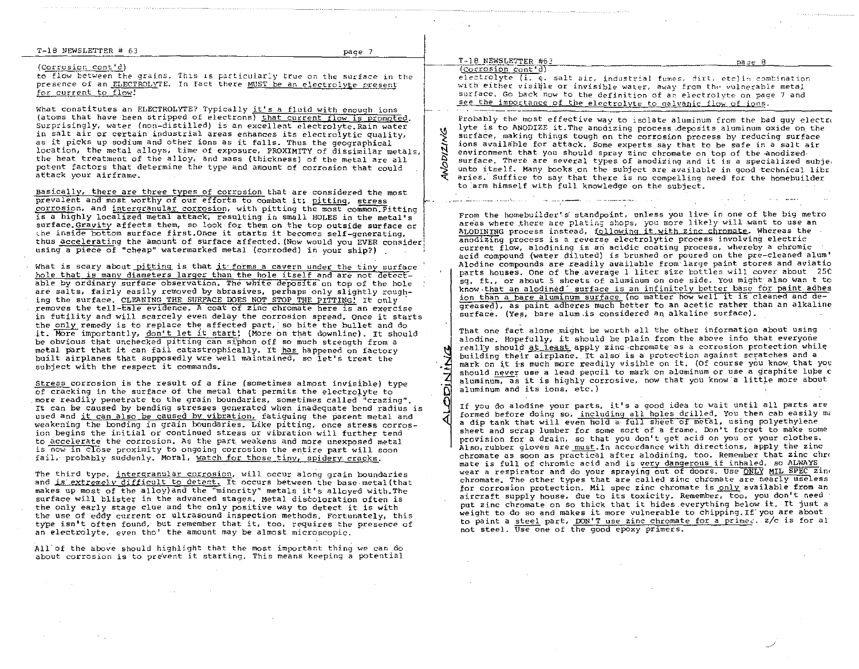#### T-18 NrnSLETTER #' 63

page 7

#### (corrosior. cont'd)

to flow between the grains. This is particularly true on the surface in the presence of an ELECTROLYTE. In fact there MUST be an electrolyte present for current to flow!

What constitutes an ELECTROLYTE? Typically it's a fluid with enough ions (atoms that have been stripped of electrons) that current flow is promoted. Surprisingly, water (non-distilled) is an excellent electrolyte. Rain water in salt air or certain industrial areas enhances its electrolytic quality, as it picks up sodium and other ions as it falls. Thus the geographical location, the metal alloys, time of exposure, PROXIMITY of dissimilar metals, the heat treatment of the alloy. and mass (thickness) of the metal are all potent factors that determine the type and amount of corrosion that could attack your airframe.

Basically. there are three types of corrosion that are considered the most prevalent and most worthy of our efforts to combat it; pitting, stress  $corrosion$ , and intergranular corrosion, with pitting the most common Pitting is a highly localized metal attack, resulting in small HOLES in the metal's surface. Gravity affects them, so look for them on the top outside surface or the inside bottom surface first. Once it starts it becomes self-generating. thus accelerating the amount of surface affected. (Now would you EVER consider using a piece of "cheap" watermarked metal (corroded) in your ship?)

What is scary about pitting is that it forms a cavern under the tiny surface hole that is many diameters larger than the hole itself and are not detectable by ordinary surface observation. The white deposits on top of the hole are salts, fairly easily removed by abrasives, perhaps only slightly roughing the surface. CLEANING THE SURFACE DOES NOT STOP THE PITTING! It only removes the tell-taie evidence. A coat of zinc chromate here is an exercise in futility and will scarcely even delay the corrosion spread. Once it starts the only remedy is to replace the affected part, so bite the bullet and do it. More importantly, don't let it start: (More on that downline). It should be obvious that unchecked pitting can siphon off so much strength from a metal part that it can fail catastrophically. It has happened on factory built airplanes that supposedly wre well maintained, so let's treat the subject with the respect it commands.

Stress corrosion is the result of a fine (sometimes almost inVisible) type of cracking in the surface of the metal that permits the electrolyte to more readily penetrate to the grain boundaries, sometimes called "crazing". It can be caused by bending stresses generated when inadequate bend radius is used and it can also be caused by vibration, fatiguing the parent metal and weakening the bonding in grain boundaries. Like pitting. once stress corrosion begins the initial or continued stress or vibration will further tend to accelerate the corrosion. As the part weakens and more unexposed metal is now in close proximity to ongoing corrosion the entire part will soon fail, probably suddenly. Moral, watch for those tiny, spidery cracks.

The third type, intergranular corrosion, will occur along grain boundaries and *is extremely difficult to detect. It occurs between the base metal (that* makes up most of the alloy) and the "minority" metals it's alloyed with. The surface will blister in the advanced stages. Metal discoloration often is the only early stage clue and the only positive way to detect it is with the use of eddy current or ultrasound inspection methods. Fortunately, this type isn't often found, but remember that it, too, requires the presence of an electrolyte, *even* tho' the amount may be almost microscopic.

All of the above should highlight that the most important thing we can do about corrosion is to prevent it starting. This means keeping a potential  $T-18$  NEWSLETTER #63:  $PA = P$ 

'(Cor\_rosion cont'd)

 $e$ lectrolyte (i.  $\epsilon$ . salt air, industrial fumes, dirt, etc)in combination with either visible or invisible water, away from the vulnerable metal surface. Go back now to the definition of an electrolyte on page 7 and see the importance of the electrolyte to galvanic flow of ions.

 $\begin{bmatrix} \phantom{-} & \phantom{-} \\ \phantom{-} & \phantom{-} \\ \phantom{-} & \phantom{-} \\ \phantom{-} & \phantom{-} \\ \phantom{-} & \phantom{-} \\ \phantom{-} & \phantom{-} \\ \phantom{-} & \phantom{-} \\ \phantom{-} & \phantom{-} \\ \phantom{-} & \phantom{-} \\ \phantom{-} & \phantom{-} \\ \phantom{-} & \phantom{-} \\ \phantom{-} & \phantom{-} \\ \phantom{-} & \phantom{-} \\ \phantom{-} & \phantom{-} \\ \phantom{-} & \phantom{-} \\ \phantom{-} & \phantom{-} \\ \phantom{-} & \phantom{-} \\ \phantom{-} & \phantom{-$ ~  $\tilde{\alpha}$  $\frac{2}{\sqrt{2}}$ Probably the most effective way to isolate aluminum from the bad guy electro lyte is to ANODIZE it. The anodizing process deposits aluminum oxide on the surface, making things tough on the corrosion process by reducing surface ions availa'ble for attack. Some experts say that to be safe in a salt air environment that you should spray zinc chromate on top of the anodized surface. There are several types of anodizing and it is a specialized subje, unto itself. Many books on the subject are available in good technical libr aries.' Suffice to say that there is no compelling need for the homebuilder to:arm himself with full knowledge on the subject.

From the homebuilder's standpoint, unless you live in one of the big metro areas where there are plating shops, you more likely will want to use an ALODINING process instead, following it with zinc chromate. Whereas the anodizing process is a reverse electrolytic process involving electric current flow, alodining is an acidic coating process, whereby a chromic acid compound (water diluted) is brushed or poured on the pre-cleaned alum' Alodine compounds are readily auailable from'large paint stores and aviatio parts houses. One of the.average 1 liter size bottles will cover about 25C sq. ft., or about 5 sheets of aluminum on one side. You might also wan t to know that an alodined" surface is an infinitely better base for paint adhes ion than a bare aluminum surface (no matter how well it is cleaned and degreased), as paint adheres much better to an acetic rather than an alkaline surface. (Yes, bare alum is considered an alkaline surface).

That one fact alone might be worth all the other information about using alodine. Hopefully, it should be plain from the above info that everyone really should at least apply zinc chromate as a corrosion protection while building their airplane. It also is a protection against scratches and a mark on it is much more readily visible on it. (Of course you know that you should never use a lead pencil to mark on aluminum or use a graphite lube c  $a$ luminu $\overline{m}$ , as it is highly corrosive, now that you know a little more about aluminum and its ions, etc.)

If you do alodine your parts, it's a good idea to wait until all parts are formed before doing so, including all holes drilled. You then cab easily ma a dip tank that will even hold a' fuil sheet of metal. using polyethylene sheet and scrap lumber for some sort of a frame. Don't forget to make some provision for a drain, so that you don't get acid on you or your clothes. Also. rubber gloves are must. In accordance with directions. apply the zinc chromate as soon as practical after alodining, too. Remember that zinc chro mate is full of chromic acid and is very dangerous if inhaled, so ALWAYS wear a respirator and do your spraying out of doors. Use ONLY MIL SPEC zine chromate. The other types that are called zinc chromate are nearly useless for corrosion protection. Mil spec zinc chromate is only available from an aircraft supply house, due to its toxicity. Remember, too, you don't need put zinc chromate on so thick that it hides everything below it. It just a weight to do so and makes it more vulnerable to chipping. If· you are about to paint a steel part, DON'T use zinc chromate for a prime  $\epsilon$ .  $z/c$  is for al not steel. Use one of the good epoxy primers.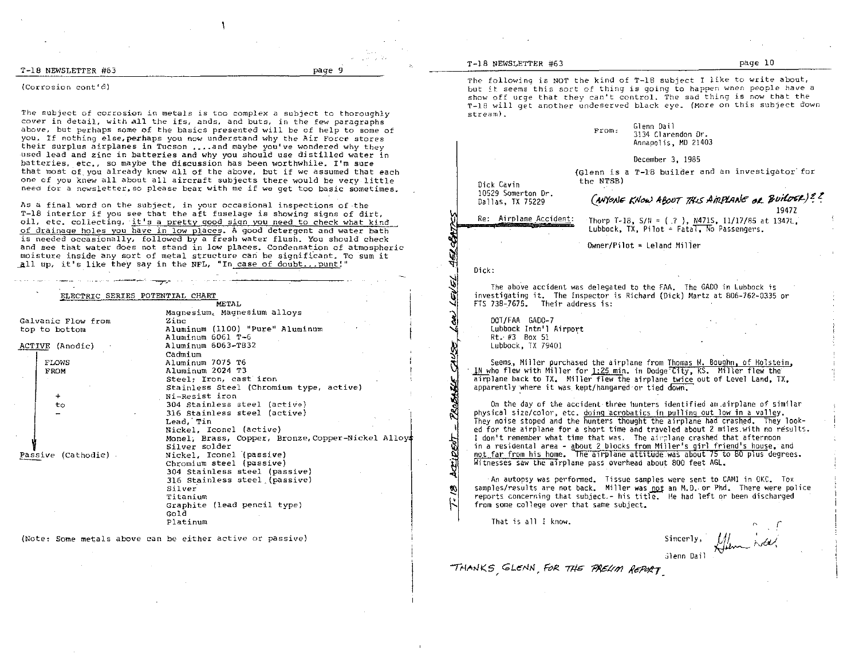T-18 NEWSLETTER #63 page 9

#### (Corrosion cont'd)

The subject of corrosion in metals is too complex a subject to thoroughly *cover* in detail, with all the ifs, ands, and buts, in the few paragraphs above, but perhaps some of the basics presented will be of help to some of you. If nothing else, perhaps you now understand why the Air Force stores their surplus airplanes in Tucson .... and maybe you've wondered why they used lead and zinc in batteries and why you should use distilled water in batteries, etc., so maybe the discussion has been worthwhile. I'm sure that most of you already knew all of the above, but if we assumed that each one of you knew all about all aircraft subjects there would be very little need for a newsletter,so please bear with me if we get too basic sometimes.

As a final word on the subject, in your occasional inspections of the T-IB interior if you see that the aft fuselage is showing signs of dirt, oil, etc. collecting, it's a pretty good sign you need to check what kind of drainage holes you have in low places. A good detetgent and water bath is needed occasionally, followed by a fresh water flush. You should *check*  and see that water does not stand in low places. Condensation of atmospheric moisture inside any sort of metal structure can be significant. To sum it all up, it's like they say in the NFL, "In case of doubt...punt!"

## ---,-' --r-,- ELECTRIC SERIES POTENTIAL CHART

|                    | METAL                                              |
|--------------------|----------------------------------------------------|
|                    | Magnesium, Magnesium alloys                        |
| Galvanic Flow from | Zinc                                               |
| top to bottom      | Aluminum (1100) "Pure" Aluminum                    |
|                    | Aluminum 6061 T-6                                  |
| ACTIVE (Anodic)    | Aluminum 6063-T832                                 |
|                    | Cadmium                                            |
| <b>TLOWS</b>       | Aluminum 7075 T6                                   |
| <b>FROM</b>        | Aluminum 2024 T3                                   |
|                    | Steel; Iron, cast iron                             |
|                    | Stainless Steel (Chromium type, active)            |
| $+$                | Ni-Resist iron                                     |
| to                 | 304 Stainless steel (active)                       |
|                    | 316 Stainless steel (active)                       |
|                    | Lead, Tin                                          |
|                    | Nickel, Iconel (active)                            |
|                    | Monel, Brass, Copper, Bronze, Copper-Nickel Alloys |
|                    | Silver solder                                      |
| Passive (Cathodic) | Nickel, Iconel (passive)                           |
|                    | Chromium steel (passive)                           |
|                    | 304 Stainless steel (passive)                      |
|                    | 316 Stainless steel (passive)                      |
|                    | Silver                                             |
|                    | Titanium                                           |
|                    | Graphite (lead pencil type)                        |
|                    | Gold                                               |
|                    | Platinum                                           |

(Note: Some metals above can be either active or passive)

#### T-IB NEWSLETTER #63 page 10

The following is NOT the kind of T-18 subject T like to write about, but it seems this sort of thing is going to happen when people have a show off urge that they can't control. The sad thing is now that the T-19 will get another undeserved black eye\_ (More on this subject down  $stream)$ .

From: Glenn Dai1 3134 Clarendon Dr. Annapolis, MO *21403*  December 3, 1985 Dick Cavin (Glenn is a T-18 builder and an investigator for the NTSB) 10529 Somerton Or. Dallas, TX 75229

(MY~JJ" *KII,..; 4/Jo1Jr* 7!U *AiT1J'1,IINe* ~L 1Ju~~)1! .!

1947Z

Thorp T-18, *5111* ::: (.? ), N471S, *11/17/85* at 1347L, Lubbock, TX, Pilot = Fatal, No Passengers.

 $0$ wner/Pilot = Leland Miller

Dick:

The above accident was delegated to the FAA. The GADO in lubbock is investigating it. The Inspector is Richard (Dick) Martz at 806-762-0335 or FTS 738-7675. Their address is:

DOT/FAA GAOO-7 Lubbock Intn'l Airport Rt. #3 Box 51 Lubbock, TX 79401

Re: Airplane Accident:

Seems, Miller purchased the airplane from Thomas  $\mathcal{H}$ . Boughn, of Holstein,  $\mathcal{J}$ N who flew with Miller for 1:25 min. in Dodge Clty, KS. Miller flew the In who flew with Miller for <u>1:25 min</u>, in Dodge City, KS, Miller flew the<br>airplane back to TX, Miller flew the airplane <u>twice</u> out of Level Land, TX,<br>apparently where it was kept/hangared or tied down.

On the day of the accident three hunters identified an .airplane of similar physical size/color, etc. doing acrobatics in pulling out low in a valley, They noise stoped and the hunters thought the airplane had crashed. They looked for the airplane for a short time and traveled about 2 miles. with no results. I don't remember what time that was. The airplane crashed that afternoon in a residental area - gbout 2 blocks from Miller's girl friend's house, and not far from his home. The airplane attitude was about 75 to 80 plus degrees. Witnesses saw the airplane pass overhead about 800 feet AGL.

An autopsy was perfonned. Tissue samples were sent to CAMI in OKC. Tox samples/results are not back. Miller was not an M.D. or Phd. There were police reports concerning that subject.- his title. He had left or been discharged from some college over that same subject.

That is all I know.

খ⊦  $\mathbf{I}$ 

Sincerly, ';lenn Dail

THANKS<sub>,</sub> GLENN, FOR THE *PREUM REPORT*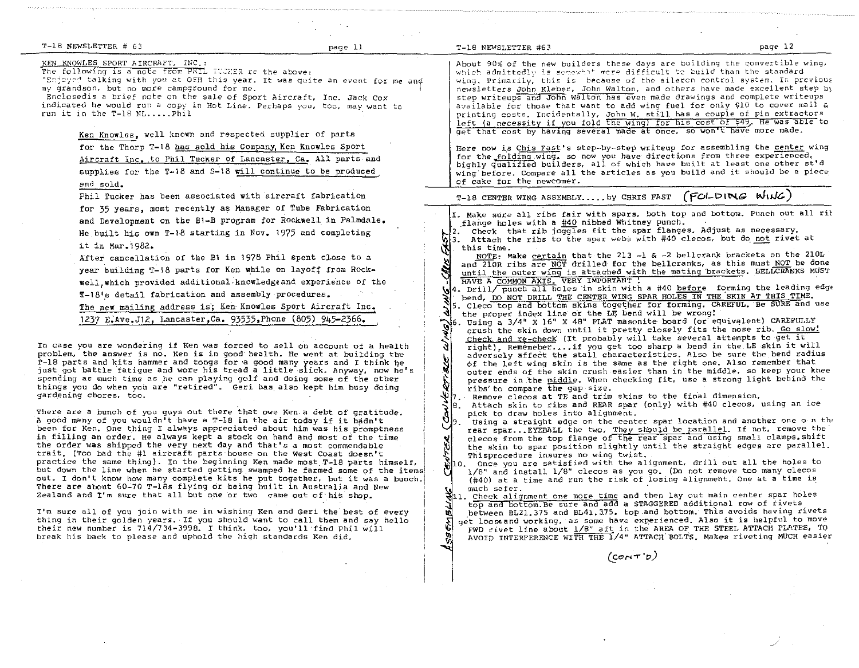| T-18 NEWSLETTER # 63                                                         | page 11 | T-18 NEWSLETTER #63                                                   | page 12 |
|------------------------------------------------------------------------------|---------|-----------------------------------------------------------------------|---------|
| KEN KNOWLES SPORT AIRCRAFT, INC.:                                            |         | About 90% of the new builders these days are building the convertible |         |
| The following is a note from PHIL TUCKER re the above:                       |         | which admittedly is somewhat more difficult to build than the standa  |         |
| "Enjoyed talking with you at OSH this year. It was quite an event for me and |         | wing. Primarily, this is because of the aileron control system. In )  |         |
| my grandson, but no more campground for me.                                  |         | newsletters John Kleber, John Walton, and others have made excellent  |         |
| Enclosedis a brief note on the sale of Sport Aircraft, Inc. Jack Cox         |         | step writeups and John Walton has even made drawings and complete wr  |         |

Enclosedis a brief note on the sale of Sport Aircraft, Inc. Jack Cox indicated he would run a copy in Hot Line. Perhaps you, too, may want to run it in the T-1B NL ..•.. phil

Ken Knowles, well known and respected supplier of parts for the Thorp T-18 has sold his Company, Ken Knowles Sport Aircraft Inc. to Phil Tucker of Lancaster, Ca. All parts and supplies for the  $T-18$  and  $S-18$  will continue to be produced end sold.

Phil Tucker has been associated with aircraft fabrication for 35 years, most recently as Manager of Tube Fabrication and Development on the B1-B program for Rockwell in Palmdale. He built his own T-18 starting in Nov. 1975 and completing it in Mar.1982.

After cancellation of the B1 in 1978 Phil spent close to a year building T-18 parts for Ken while on layoff from Rockwell, which provided additional knowledge and experience of the T-18's detail fabrication and assembly procedures.

The new mailing address is; Ken- Knowles Sport Aircraft Inc. 1237 E;Ave.J12, Lancaster,Ca. 93535,Phone (805) 945-2366.

In case you are wondering if Ken was forced to sellon account of a health problem, the answer is no. Ken is in good health. He went at building the  $T-18$  parts and kits hammer and tongs for a good many years and I think he Just got battle fatigue and wore his tread a little ·slick. Anyway, now he's spending as much time as he can playing golf and doing some of the other things you do when you are "retired". Geri has, also kept him busy doing gardening chores, too.

There are a bunch of you guys out there that owe Ken.a debt of gratitude. A good many of you wouldn't have a T-18 in the air today if it hadn't been for Ken. One thing I always appreciated about him was his promptness in filling an order. He always kept a stock on hand and most of the time in filling an order. He always kept a stock on hand and most of the time<br>the order was shipped the very next day and that's a most commendable<br>trait. (Too bad the #1 aircraft parts-house on the West Coast doesn't trait. (Too bad the #1 aircraft parts house on the West Coast doesn't<br>practice the same thing). In the beginning Ken made most T-18 parts himself. but down the line when he started getting, swamped he farmed some of the items. out. I don't know how many complete kits he put together, but it was a bunch.! There are about 60-70 T-18s flying or being built in Australia and New ' Zealand and I'm sure that all but one or two came out of'his shop.

I'm sure all of you join with me in wishing Ken and Geri the' best of every thing in their golden years. If you should want to call them and say hello their new number is 714/734-3998. I think, too, you'll'find Phil will break his back to please and uphold the high standards Ken did.

s these days are building the convertible wing, where difficult to build than the standard cause of the aileron control system. In previous n Walton, and others have made excellent step by n has even made drawings and complete writeups available for those that want to add wing fuel for only \$10 to cover mail & printing costs. Incidentally, John w. still has a couple of pin extractors left (a necessity if you fold the wing) for his cost of \$49. He was able to get that cost by having several made at once, so won't have more made.

Here now is Chis Fast's step-by-step writeup for assembling the center wing for the folding wing, so now you have directions from three experienced, highly qualified builders, all of which have built at least one other st'd wing'before. Compare all the articles as you build and it should be a piece of cake for the newcomer.

| T-18 CENTER WING ASSEMBLY by CHRIS FAST (FOLDING WING) |  |  |
|--------------------------------------------------------|--|--|
|--------------------------------------------------------|--|--|

I. Make sure all ribs fair with spars, both top and bottom. Punch out all rit flange holes with a #40 nibbed Whitney punch.

2. Check that rib joggles fit the spar flanges. Adjust as necessary. 3. Attach the ribs to the spar webs with #40 clecos, but do not rivet at this time.

this time.<br>NOTE: Make certain that the 213 -1 & -2 bellcrank brackets on the 210L and 210R ribs are NOT drilled for the bellcranks, as this must NOT be done until the outer wing is attached with the mating brackets. BELLCRANKS MUST<br>HAVE A COMMON AXIS. VERY IMPORTANT :<br>4. Drill/ punch all holes in skin with a #40 <u>befor</u>e forming the leading edge

bend, DO NOT DRILL THE CENTER WING SPAR HOLES IN THE SKIN AT THIS TIME. 5. Cleco top and bottom skins together for forming. CAREFUL. Be SURE and use

- the proper index line or the LE bend will be wrong! 16. Using a 3/4" X 16" X 48" FLAT masonite board (or equivalent) CAREFULLY crush the skin down until it pretty closely fits the nose rib. Go slow! Check and re-check (It probably will take several attempts to get it<br>Tight), Rememeber....if you get too sharp a bend in the LE skin it wi
- right). Rememeber.... if you get too sharp a bend in the LE skin it will adversely affect the stall characteristics. Also be sure the bend radius 6f the left wing skin is the same as the right one. Also remember that outer ends of the skin crush easier than in the middle, so keep your knee \* pressure in the middle. When checking fit, use a strong light behind the<br>\* ribs to compare the gap size.
- $\mathbb{U}_I$ . Remove clecos at TE and trim skins to the final dimension.
- pick to draw holes into alignment.

8. Attach skin to ribs and REAR spar (only) with #40 clecos, using an ice<br>pick to draw holes into alignment.<br>9. Using a straight edge on the center spar location and another one on the<br>rear spar...EYEBALL the two, They sho -Using a straight edge on the center spar location and another one o n th $\ell$ clecos from the top flange of the rear spar and using small clamps. shift the skin to spar position slightly until the straight edges are parallel. Thisprocedure insures no wing twist.

 $\mathcal{S}$ 10. Once you are satisfied with the alignment, drill out all the holes to • 1/8" and install 1/8" clecos as you go. (Do not *remove* too many clecos (#40) at a time and run the risk of losing alignment. One at a time is

to much safer.<br>811. Check alignment one more time and then lay out main center spar holes top and bOttom. Be sure and add a STAGGERED additional row of rivets between BL21.375 and BL41.375. top.and bottom. This avoids having rivets u. get looseand working, as some have experienced. Also it is helpful to move 녆 FWD rivet line about  $1/8$ " aft in the AREA OF THE STEEL ATTACH PLATES, TO AVOID INTERFERENCE WITH THE 1/4" ATTACH' BOLT'S. Makes riveting MUCH easier

 $(corr)$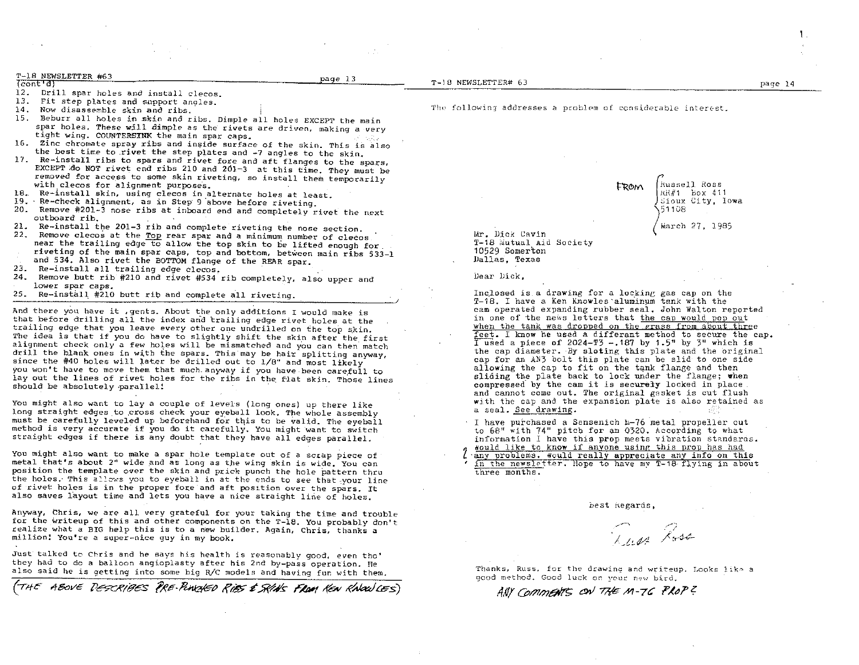| T-18 NEWSLETTER #63          |  | page 13 |  |
|------------------------------|--|---------|--|
| $\sqrt{const}$ at $\sqrt{3}$ |  | ----    |  |

- 12. (cont'd)<br>12. Drill spar holes and install clecos.
- 13. Fit step plates and support angles.
- 14. Now disassemble skin and ribs.
- 15. Beburr all holes in skin and ribs. Dimple all holes EXCEPT the main spar holes. These will dimple as the rivets are driven. making a *very*  tight wing. COUNTERSINK the main spar caps.
- 16. Zinc chromate spray ribs and inside surface of the skin. This is also the best time to rivet the step plates and -7 angles to the skin.
- 17. Re-install ribs to spars and rivet fore and aft flanges to the spars, EXCEPT ,do NOT rivet end ribs 210 and 201-3 at this time. They must be removed for access to some skin riveting, so install them temporarily with clecos for alignment purposes.
- 18. Re-install skin. using clecos in alternate holes at least.
- 19. Re-check alignment, as in Step 9 'above before riveting.
- 20. Remove #201-3 nose ribs at inboard end and completely rivet the next outboard rib. Re-install the 201-3 rib and complete riveting the nose section.
- 2l.
- 22. Remove clecos at the Top rear spar and a minimum number of clecos. near the trailing edge to allow the top skin to be lifted enough for.
- riveting of the main spar caps, top and bottom, between main ribs 533-1
- and 534. Also rivet the BOTTOM flange of the REAR spar.
- 23. Re-install all trailing edge cleeos.
- 24. Remove butt rib #210 and rivet #534 rib completely, also upper and lower spar caps.
- 25. Re-install #210 butt rib and complete all riveting.

And there you have it , gents. About the only additions I would make is that before drilling all the index and trailing edge rivet holes at the trailing edge that you leave every other one undrilled on the top skin. The idea is that if you do have to slightly shift the skin after the first alignment check only a few holes will be mismatched and you can then match drill the blank ones in with the spars. This may be hair splitting anyway, since the #40 holes will later be drilled out to  $1/8$ " and most likely you won't have to move them that much anyway if you have been carefull to lay out the lines of rivet holes for the ribs in the flat skin. Those lines should be absolutely parallel!

You might also want to lay a couple of levels (long ones) up there like long straight edges to cross check your eyeball look. The whole assembly must be carefully leveled up beforehand for this to be valid. The eyeball method is very accurate if you do it carefully. You might 'want to switch straight edges if there is any doubt that they have all edges parallel.

You might also want to make a spar hole template out of a scrap piece of metal that's about 2" wide and as long as the wing skin is wide. You can position the template over the skin and prick punch the hole pattern thru the holes. This allows you to eyeball in at the ends to see that your line of rivet holes is in the proper fore and aft position over the spars. It also saves layout time and lets you have a nice straight line of holes.

Anyway, Chris, we are all very grateful for your taking the time and trouble for the writeup of this and other components on the T-IB. You probably don't realize what a BIG help this is to a new builder. Again, Chris, thanks a million! You're a super-nice guy in my book.

Just talked to Chris and he says his health is reasonably good. *even* tho' they had to de a balloon angioplasty after his 2nd by-pass operation. He also said he is getting into some big R/C models and having fur with them.

ABOVE DESCRIBES PRE-RINGED RIBS & SKINS FROM KEN KNOWLES)

T-18 NEWSLETTER# 63 page 14

The following addresses a problem of considerable interest.

FROM <sup>'</sup> Russell Ross  $R$  $H$   $H$ <sup>1</sup> box 411 ~ioux City, Iowa ')5 1 108

(hiarch 27, 1985

Mr. Dick Cavin T-18 Mutual Aid Society 10529 Somerton Dallas, Texas

Dear Dick,

Inclosed is a drawing for a locking gas cap on the T-18. I have a Ken Knowles aluminum tank with the cam operated expanding rubber seal. John Walton reported in one of the news letters that the cap would pop out when the tank was dropped on the erass from about three feet. 1 know he used a differant method to secure the cap. Tused a piece of 2024-T3 -.187 by 1.5" by  $3^u$  which is the cap diameter. By sloting this plate and the original cap for an AN3 bolt this plate can be slid to one side allowing the cap to fit on the tank flange and then sliding the plate back to lock under the flange; when compressed by the cam it is securely locked in place. and cannot come out. The original gasket is cut flush with the cap and the expansion plate is also retained as a seal. See drawing.

I have purchased a Sensenich  $h-76$  metal propeller cut to  $68$ <sup>*w*</sup> with  $74$ <sup>*m*</sup> pitch for an  $0320$ . According to what information I have this prop meets vibration standards.<br>would like to know if anyone using this prop has had lant the to know if anyone using this prop has had interested any problems. Would really appreciate any info on this

in the newsletter. Hope to have my T-18 flying in about three months.

best kegards.

 $\overline{a}$  /,  $\frac{1}{2}$  1.42  $\frac{1}{2}$   $\frac{1}{2}$ 

Thanks, Russ, for the drawing and writeup. Looks like a good method. Good luck on your new bird.

ANY COMMENTS ON THE M-76 PROP?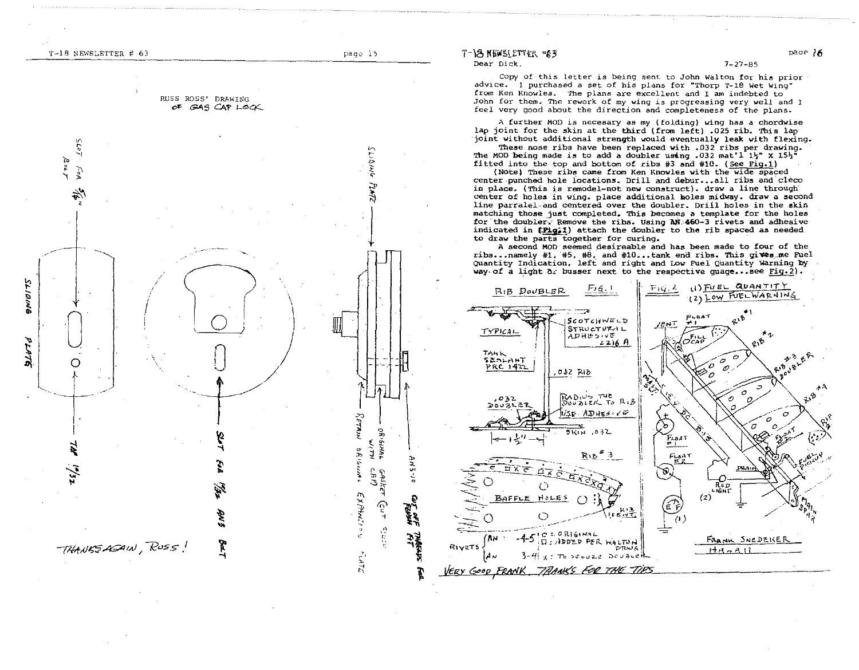RUSS ROSS' DRAWING OF GAS CAP LOCK

~,

<u>ر ب</u>

 $\mathcal{L}$ 

<sup>~</sup>.. 'I

> Av. '"

 $1 - p_0$ 

 $\overline{\bigcup_{i=1}^n}$ 

 $+$ 

 $10^{15}$ 

~

 $\downarrow$ 

С

1 ~

 $z_{s'_\bullet}$ 

 $TKAMSAAN$ ,  $Ross!$ 

)), بر<br>ار*∍*<br>ا∕ 1

**: 175**<br>آباد ~

كالألهاج

 $\sim$ " b i' ন<br>মৈ  $\frac{1}{2}$ 

 $\downarrow$ 

 $\begin{picture}(130,10) \put(0,0){\line(1,0){155}} \put(15,0){\line(1,0){155}} \put(15,0){\line(1,0){155}} \put(15,0){\line(1,0){155}} \put(15,0){\line(1,0){155}} \put(15,0){\line(1,0){155}} \put(15,0){\line(1,0){155}} \put(15,0){\line(1,0){155}} \put(15,0){\line(1,0){155}} \put(15,0){\line(1,0){155}} \put(15,0){\line(1,0){155}}$ 

A<sub>N</sub><sub>3</sub> 0

~  $\ddot{\bm{x}}$ 

~1

l:

 $\zeta$   $\varepsilon$  72

EXPAN!

 $\mathbf{r}$  $\mathcal{V}$ 

 $\frac{6}{9}$   $\frac{6}{9}$   $\frac{16}{9}$   $\frac{16}{9}$ ا Aر سمه<br>سرمایه محمد

<sup>i</sup>~ ~ .. ~~

 $\check{\mathcal{C}}$ u T

 $\frac{1}{2}$  cm c  $\frac{1}{2}$ 

 $T-\frac{3}{8}$   $\frac{8}{9}$   $\frac{1}{6}$   $\frac{1}{6}$   $\frac{1}{6}$   $\frac{1}{6}$   $\frac{1}{6}$   $\frac{1}{6}$   $\frac{1}{6}$   $\frac{1}{6}$   $\frac{1}{6}$   $\frac{1}{6}$   $\frac{1}{6}$   $\frac{1}{6}$   $\frac{1}{6}$   $\frac{1}{6}$   $\frac{1}{6}$   $\frac{1}{6}$   $\frac{1}{6}$   $\frac{1}{6}$   $\frac{1}{6}$   $\frac{1}{6}$  Dear Dick,

copy of this Letter is being sent to John Walton *tor* his prior advl.ce. 1 purchased a set of his plans for "Thorp T-18 Wet Wing" from Ken Knowles. The plans are excellent and I am indebted to John for them. The rework of my wing is progressing very well and I feel very good about the direction and completeness of the plans.

A further MOD is necesary as my (folding) wing has a chordwise lap joint for the skin at the third (from left) .025 rib. This lap joint without additional strength would eventually leak with flexing.

These nose ribs have been replaced with .032 ribs per drawing. The MOD being made is to add a doubler using .032 mat'l  $1\frac{1}{2}$ " X  $15\frac{1}{2}$ " fitted into the top and bottom of ribs #3 and #10. (see Fig.1)

(Note) These ribs came from Ken Knowles with the wide spaced center punched hole locations. Drill and debur...all ribs and cleco in place. (This is remodel-not new construct). draw a line through denter of holes in wing. place additional holes midway. draw a second line parralel-and centered over the doubler. Drill holes in the skin matching those just completed. This becomes a template for the holes for the doubler. Remove the ribs. Using AN:460-3 rivets and adhesive indicated in  $(Pl, 1)$  attach the doubler to the rib spaced as needed. to draw the parts together for curing.

A second MOD seemed desireable and has been made to four of the ribs ... namely #1. #5, #8. and #10 ... tank end ribs. This gives me Fuel QUantity Indication. left and right and Low FUel Quantity Warning by way of a light  $\alpha_L$  busser next to the respective quage...see Fig. 2).

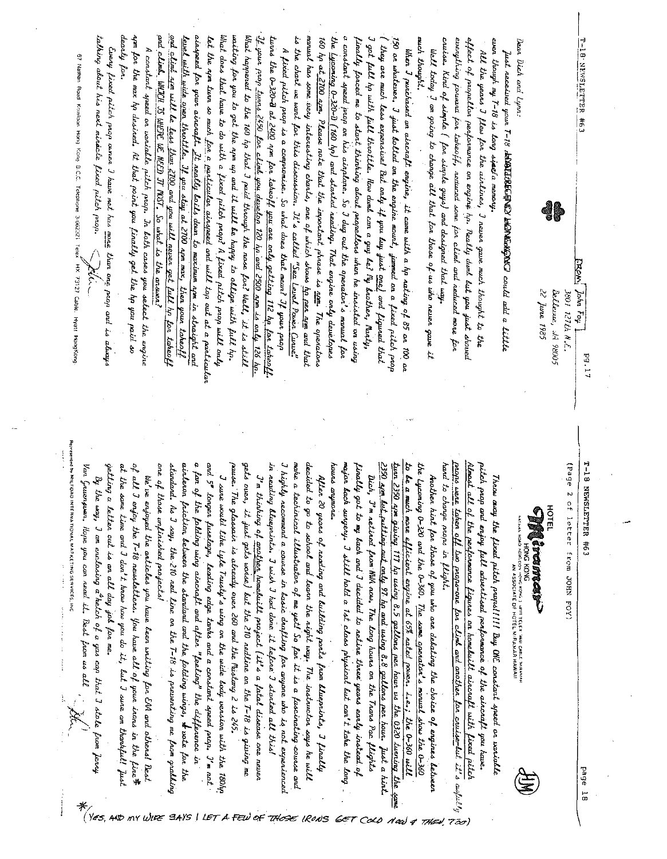| . the <u>typening 0-320-D (160 h</u> p) and started neading. That engine only developes<br>$T$ your prop twee 2:50 for climb you develop 120 hp and 2500 non is only 126 hp.<br>and climb. WHICH IS WEDE UE NEED IT NOST. So what is the answer?<br>and clime som will be less than $2100$ and you will never get full by for takes $\mu$<br>ainspeed for your aircraft. It really loits down to moximum nom in straight and<br>waiting for you to get the $\eta$ m up and it will le happy to ollige with full $\eta$ .<br>monuel has some wory interesting charts, one of which shows <u>he nee arm</u> and that<br>dearly for.<br>$\lambda$ qm $\beta$ or the max ha desired. At that point you finally get the hp you paid so<br>What does that have to do with a fixed pitch peop? A fixed pitch prop will only<br>What happened to the 160 hp that I paid through the nose fon! Well, it is still<br>twood the $0\nu$ 320-B at <u>2400</u> apm for tabeoff you are only getting 112 by for tabeoff.<br>.<br>150 on whatever. I just holled on the engine mout, jammed on a fixed pitch prop<br>talhing about his next minicle fixed pitch prop.<br>$l$ evel with wide open thootile. If you sing at 2700 $_{\rm dyn}$ max, then youn takeoff<br>let the nom two so much for a <u>particular airegreed</u> and will top out at a particular<br>a constant speed poop on his ainplane. So I dug out the operator's manual for<br>is the chart we want for this discussion. It's called "Sea Level Power Curve"<br>160 hp a <u>t 2700 apm</u> . Please note that the important phrase is <u>nom</u> . The operators<br>I got full ho with full theotile. How duml can a guy le? Ny baother, $\mathsf{Ract}_\mathsf{H}$ ,<br>much thought.<br>finally fonced me to start thinhing about propellons when he inscited on using<br>effect of propetton performance on engine hp. Really duml lut you just shoved<br>cruise. Nind of simple ( for simple guys) and designed that way.<br>everything powera for tabeoff, neameed some for climb and neduced more for<br>even though my 7-18 is long side a memory.<br>T-18 NEWSLETTER #6.3<br>Dear Dick and Lynn.<br>. They are much less expensive! But only if you luy just $\lim_{\epsilon\to 0} \frac{1}{\epsilon}$ and $\epsilon$ iquaed that<br>Eveny fired pitch paga cener I have met has <u>mone</u> than one paga and is always<br>A fixed pitch pagn is a compromise. So what does that mean? If your prop<br>A constant speed on variable pitch pap. In loth cases you select the engine<br>When I purchased an aircraft engines, it came with a $h p$ rating of 85 on 100 on<br>We it today $J$ an going to change all that for those of us who never gave it<br>All the years $J$ flew for the airlines, $J$ never gave much thought to the<br>Just necessed your 7-18 resolute Care Kan Richard could and a little<br>67 Nathan Road Kongon Hong Kong B.C.C. Telephone 3-002321 Telek HX 73127 Cable. Hyatt HongKong<br>$\bigwedge$<br>EROM John Foy I<br>di<br>22 June 1985<br><b>361 127th N.C.</b><br>Dellevue, M. 98005<br>P9.17<br>props were taken off two proporone for climb and another for cruise-but it's andul $\psi$<br>$\frac{38}{20}$<br>Almast all of the performance figures on homebuilt aircraft with fixed pitch<br>decided to go to school and learn the night way. The instructor says he will<br>major back surgery. I still hold a 1st class physical but can't take the long<br>to be a much more efficient engine at 65% nated power. i.e.; the 0-360 will<br>the Lycoming O-320 and the O-360. The same operator's monual show the O-360<br>hand<br>pitch paop are ering full advertised performance of the aircraft you have.<br>$6 - 1$<br>make a techinical illustrator of me yet! So far it is a fascinating course and<br>hours arymore.<br>of all I enjoy the $7$ -18 newsletters. You have all of your isons in the fire#<br>a fan sji the folding wing aircoaft and after "feeling" the difference in<br>pause. The glassein is already over 260 and the Pustang 2 is 245.<br>in reading alueprints. I wish I had done it lefone I started all this!<br>I highly necommend a course in basic drafting for anyone who is not experienced<br>tun<br>getting a letter out is an all day job for me.<br>at the same time and $J$ don't howe how you do it, let $J$ sure am thankful! $\overline{\mu}$<br>aircle non friction letween the standard and the folding wings, $\star$ vote for the<br>gets<br>finally got to my back and I decided to netine three years early instead of<br>(Page<br>$V_{\alpha\alpha}$<br>one of those unfinished projects!<br>standard. As I say, the 210 ned line on the $7$ -18 is preventing me pasm gradling<br>and $S^*$ longer funelage, leading edge tanks and a constant speed prop. I'm not<br>Dich, I'm neitred from HWA now. The long hours on the Trans Pac flights<br>After 30 years of reading and building parts from Uueprints, I finally<br>$\emph{J'}$ m thinhing of <u>another</u> homehuilt project (ii's a fatal disease one never<br>By the way, I am enclosing a helch of a gas can that I stole from Jeony<br>I see a sould like $\iota\mu\iota e$ Trusty's wing on the wide lock version with the 180 $h$<br>Another hirt for those of you who are delating the choice of engines letween<br>We've enjoyed the anticles you have leen writing for EAA and others! Rest<br>Throw any the fired pitch papel!!!! Buy ONE constant speed or variable<br>Gueenpoen. Hope you can read it. Rest from us all<br>and list putting and acts 97 hp and using 8.8 gallans per hour.<br>over, it just gets worse) but the 210 redline on the $7$ -18 is giving me<br>2380 arm giving 117 ha using 8.5 gallons per how us the 0320 tuning the<br>to change none in flight.<br>NEWSLETTER<br>$\ddot{\phantom{0}}$<br>of letter<br>三日<br>CARANCER<br>きさる<br>Erom<br>H VOMO KOMG 3 MUSIT TELEIX THEAL CARLE THIRMAN<br>IN ASSOCIATE OF HOTEL MIRANAR HAWAII<br>DOHN POY<br>Just a<br>page 18<br>hint<br>Scinto<br>$\omega$ re<br>54<br>LET A FEW<br>σF<br><b>THACE</b><br><b>IRONS</b><br>657 | $*_{\gamma_{\mathscr{E}S_{\gamma}}}$<br>CoLO<br>7ão)<br>$N$ ar) q<br>THEO! | Represented by MILFORD INTERNATIONAL MAPKETING SERVICES, INC. |  |
|---------------------------------------------------------------------------------------------------------------------------------------------------------------------------------------------------------------------------------------------------------------------------------------------------------------------------------------------------------------------------------------------------------------------------------------------------------------------------------------------------------------------------------------------------------------------------------------------------------------------------------------------------------------------------------------------------------------------------------------------------------------------------------------------------------------------------------------------------------------------------------------------------------------------------------------------------------------------------------------------------------------------------------------------------------------------------------------------------------------------------------------------------------------------------------------------------------------------------------------------------------------------------------------------------------------------------------------------------------------------------------------------------------------------------------------------------------------------------------------------------------------------------------------------------------------------------------------------------------------------------------------------------------------------------------------------------------------------------------------------------------------------------------------------------------------------------------------------------------------------------------------------------------------------------------------------------------------------------------------------------------------------------------------------------------------------------------------------------------------------------------------------------------------------------------------------------------------------------------------------------------------------------------------------------------------------------------------------------------------------------------------------------------------------------------------------------------------------------------------------------------------------------------------------------------------------------------------------------------------------------------------------------------------------------------------------------------------------------------------------------------------------------------------------------------------------------------------------------------------------------------------------------------------------------------------------------------------------------------------------------------------------------------------------------------------------------------------------------------------------------------------------------------------------------------------------------------------------------------------------------------------------------------------------------------------------------------------------------------------------------------------------------------------------------------------------------------------------------------------------------------------------------------------------------------------------------------------------------------------------------------------------------------------------------------------------------------------------------------------------------------------------------------------------------------------------------------------------------------------------------------------------------------------------------------------------------------------------------------------------------------------------------------------------------------------------------------------------------------------------------------------------------------------------------------------------------------------------------------------------------------------------------------------------------------------------------------------------------------------------------------------------------------------------------------------------------------------------------------------------------------------------------------------------------------------------------------------------------------------------------------------------------------------------------------------------------------------------------------------------------------------------------------------------------------------------------------------------------------------------------------------------------------------------------------------------------------------------------------------------------------------------------------------------------------------------------------------------------------------------------------------------------------------------------------------------------------------------------------------------------------------------------------------------------------------------------------------------------------------------------------------------------------------------------------------------------------------------------------------------------------------------------------------------------------------------------------------------------------------------------------------------------------------------------------------------------------------------------------------------------------------------------------------------------------------------------------------------------------------------------------------------------------------------------------------------------------------------------------------------------------------------------------------------------------------------------------------------------------------------------------|----------------------------------------------------------------------------|---------------------------------------------------------------|--|
|                                                                                                                                                                                                                                                                                                                                                                                                                                                                                                                                                                                                                                                                                                                                                                                                                                                                                                                                                                                                                                                                                                                                                                                                                                                                                                                                                                                                                                                                                                                                                                                                                                                                                                                                                                                                                                                                                                                                                                                                                                                                                                                                                                                                                                                                                                                                                                                                                                                                                                                                                                                                                                                                                                                                                                                                                                                                                                                                                                                                                                                                                                                                                                                                                                                                                                                                                                                                                                                                                                                                                                                                                                                                                                                                                                                                                                                                                                                                                                                                                                                                                                                                                                                                                                                                                                                                                                                                                                                                                                                                                                                                                                                                                                                                                                                                                                                                                                                                                                                                                                                                                                                                                                                                                                                                                                                                                                                                                                                                                                                                                                                                                                                                                                                                                                                                                                                                                                                                                                                                                                                                                                                                 |                                                                            |                                                               |  |
|                                                                                                                                                                                                                                                                                                                                                                                                                                                                                                                                                                                                                                                                                                                                                                                                                                                                                                                                                                                                                                                                                                                                                                                                                                                                                                                                                                                                                                                                                                                                                                                                                                                                                                                                                                                                                                                                                                                                                                                                                                                                                                                                                                                                                                                                                                                                                                                                                                                                                                                                                                                                                                                                                                                                                                                                                                                                                                                                                                                                                                                                                                                                                                                                                                                                                                                                                                                                                                                                                                                                                                                                                                                                                                                                                                                                                                                                                                                                                                                                                                                                                                                                                                                                                                                                                                                                                                                                                                                                                                                                                                                                                                                                                                                                                                                                                                                                                                                                                                                                                                                                                                                                                                                                                                                                                                                                                                                                                                                                                                                                                                                                                                                                                                                                                                                                                                                                                                                                                                                                                                                                                                                                 |                                                                            |                                                               |  |
|                                                                                                                                                                                                                                                                                                                                                                                                                                                                                                                                                                                                                                                                                                                                                                                                                                                                                                                                                                                                                                                                                                                                                                                                                                                                                                                                                                                                                                                                                                                                                                                                                                                                                                                                                                                                                                                                                                                                                                                                                                                                                                                                                                                                                                                                                                                                                                                                                                                                                                                                                                                                                                                                                                                                                                                                                                                                                                                                                                                                                                                                                                                                                                                                                                                                                                                                                                                                                                                                                                                                                                                                                                                                                                                                                                                                                                                                                                                                                                                                                                                                                                                                                                                                                                                                                                                                                                                                                                                                                                                                                                                                                                                                                                                                                                                                                                                                                                                                                                                                                                                                                                                                                                                                                                                                                                                                                                                                                                                                                                                                                                                                                                                                                                                                                                                                                                                                                                                                                                                                                                                                                                                                 |                                                                            |                                                               |  |
|                                                                                                                                                                                                                                                                                                                                                                                                                                                                                                                                                                                                                                                                                                                                                                                                                                                                                                                                                                                                                                                                                                                                                                                                                                                                                                                                                                                                                                                                                                                                                                                                                                                                                                                                                                                                                                                                                                                                                                                                                                                                                                                                                                                                                                                                                                                                                                                                                                                                                                                                                                                                                                                                                                                                                                                                                                                                                                                                                                                                                                                                                                                                                                                                                                                                                                                                                                                                                                                                                                                                                                                                                                                                                                                                                                                                                                                                                                                                                                                                                                                                                                                                                                                                                                                                                                                                                                                                                                                                                                                                                                                                                                                                                                                                                                                                                                                                                                                                                                                                                                                                                                                                                                                                                                                                                                                                                                                                                                                                                                                                                                                                                                                                                                                                                                                                                                                                                                                                                                                                                                                                                                                                 |                                                                            |                                                               |  |
|                                                                                                                                                                                                                                                                                                                                                                                                                                                                                                                                                                                                                                                                                                                                                                                                                                                                                                                                                                                                                                                                                                                                                                                                                                                                                                                                                                                                                                                                                                                                                                                                                                                                                                                                                                                                                                                                                                                                                                                                                                                                                                                                                                                                                                                                                                                                                                                                                                                                                                                                                                                                                                                                                                                                                                                                                                                                                                                                                                                                                                                                                                                                                                                                                                                                                                                                                                                                                                                                                                                                                                                                                                                                                                                                                                                                                                                                                                                                                                                                                                                                                                                                                                                                                                                                                                                                                                                                                                                                                                                                                                                                                                                                                                                                                                                                                                                                                                                                                                                                                                                                                                                                                                                                                                                                                                                                                                                                                                                                                                                                                                                                                                                                                                                                                                                                                                                                                                                                                                                                                                                                                                                                 |                                                                            |                                                               |  |
|                                                                                                                                                                                                                                                                                                                                                                                                                                                                                                                                                                                                                                                                                                                                                                                                                                                                                                                                                                                                                                                                                                                                                                                                                                                                                                                                                                                                                                                                                                                                                                                                                                                                                                                                                                                                                                                                                                                                                                                                                                                                                                                                                                                                                                                                                                                                                                                                                                                                                                                                                                                                                                                                                                                                                                                                                                                                                                                                                                                                                                                                                                                                                                                                                                                                                                                                                                                                                                                                                                                                                                                                                                                                                                                                                                                                                                                                                                                                                                                                                                                                                                                                                                                                                                                                                                                                                                                                                                                                                                                                                                                                                                                                                                                                                                                                                                                                                                                                                                                                                                                                                                                                                                                                                                                                                                                                                                                                                                                                                                                                                                                                                                                                                                                                                                                                                                                                                                                                                                                                                                                                                                                                 |                                                                            |                                                               |  |
|                                                                                                                                                                                                                                                                                                                                                                                                                                                                                                                                                                                                                                                                                                                                                                                                                                                                                                                                                                                                                                                                                                                                                                                                                                                                                                                                                                                                                                                                                                                                                                                                                                                                                                                                                                                                                                                                                                                                                                                                                                                                                                                                                                                                                                                                                                                                                                                                                                                                                                                                                                                                                                                                                                                                                                                                                                                                                                                                                                                                                                                                                                                                                                                                                                                                                                                                                                                                                                                                                                                                                                                                                                                                                                                                                                                                                                                                                                                                                                                                                                                                                                                                                                                                                                                                                                                                                                                                                                                                                                                                                                                                                                                                                                                                                                                                                                                                                                                                                                                                                                                                                                                                                                                                                                                                                                                                                                                                                                                                                                                                                                                                                                                                                                                                                                                                                                                                                                                                                                                                                                                                                                                                 |                                                                            |                                                               |  |
|                                                                                                                                                                                                                                                                                                                                                                                                                                                                                                                                                                                                                                                                                                                                                                                                                                                                                                                                                                                                                                                                                                                                                                                                                                                                                                                                                                                                                                                                                                                                                                                                                                                                                                                                                                                                                                                                                                                                                                                                                                                                                                                                                                                                                                                                                                                                                                                                                                                                                                                                                                                                                                                                                                                                                                                                                                                                                                                                                                                                                                                                                                                                                                                                                                                                                                                                                                                                                                                                                                                                                                                                                                                                                                                                                                                                                                                                                                                                                                                                                                                                                                                                                                                                                                                                                                                                                                                                                                                                                                                                                                                                                                                                                                                                                                                                                                                                                                                                                                                                                                                                                                                                                                                                                                                                                                                                                                                                                                                                                                                                                                                                                                                                                                                                                                                                                                                                                                                                                                                                                                                                                                                                 |                                                                            |                                                               |  |
|                                                                                                                                                                                                                                                                                                                                                                                                                                                                                                                                                                                                                                                                                                                                                                                                                                                                                                                                                                                                                                                                                                                                                                                                                                                                                                                                                                                                                                                                                                                                                                                                                                                                                                                                                                                                                                                                                                                                                                                                                                                                                                                                                                                                                                                                                                                                                                                                                                                                                                                                                                                                                                                                                                                                                                                                                                                                                                                                                                                                                                                                                                                                                                                                                                                                                                                                                                                                                                                                                                                                                                                                                                                                                                                                                                                                                                                                                                                                                                                                                                                                                                                                                                                                                                                                                                                                                                                                                                                                                                                                                                                                                                                                                                                                                                                                                                                                                                                                                                                                                                                                                                                                                                                                                                                                                                                                                                                                                                                                                                                                                                                                                                                                                                                                                                                                                                                                                                                                                                                                                                                                                                                                 |                                                                            |                                                               |  |
|                                                                                                                                                                                                                                                                                                                                                                                                                                                                                                                                                                                                                                                                                                                                                                                                                                                                                                                                                                                                                                                                                                                                                                                                                                                                                                                                                                                                                                                                                                                                                                                                                                                                                                                                                                                                                                                                                                                                                                                                                                                                                                                                                                                                                                                                                                                                                                                                                                                                                                                                                                                                                                                                                                                                                                                                                                                                                                                                                                                                                                                                                                                                                                                                                                                                                                                                                                                                                                                                                                                                                                                                                                                                                                                                                                                                                                                                                                                                                                                                                                                                                                                                                                                                                                                                                                                                                                                                                                                                                                                                                                                                                                                                                                                                                                                                                                                                                                                                                                                                                                                                                                                                                                                                                                                                                                                                                                                                                                                                                                                                                                                                                                                                                                                                                                                                                                                                                                                                                                                                                                                                                                                                 |                                                                            |                                                               |  |
|                                                                                                                                                                                                                                                                                                                                                                                                                                                                                                                                                                                                                                                                                                                                                                                                                                                                                                                                                                                                                                                                                                                                                                                                                                                                                                                                                                                                                                                                                                                                                                                                                                                                                                                                                                                                                                                                                                                                                                                                                                                                                                                                                                                                                                                                                                                                                                                                                                                                                                                                                                                                                                                                                                                                                                                                                                                                                                                                                                                                                                                                                                                                                                                                                                                                                                                                                                                                                                                                                                                                                                                                                                                                                                                                                                                                                                                                                                                                                                                                                                                                                                                                                                                                                                                                                                                                                                                                                                                                                                                                                                                                                                                                                                                                                                                                                                                                                                                                                                                                                                                                                                                                                                                                                                                                                                                                                                                                                                                                                                                                                                                                                                                                                                                                                                                                                                                                                                                                                                                                                                                                                                                                 |                                                                            |                                                               |  |
|                                                                                                                                                                                                                                                                                                                                                                                                                                                                                                                                                                                                                                                                                                                                                                                                                                                                                                                                                                                                                                                                                                                                                                                                                                                                                                                                                                                                                                                                                                                                                                                                                                                                                                                                                                                                                                                                                                                                                                                                                                                                                                                                                                                                                                                                                                                                                                                                                                                                                                                                                                                                                                                                                                                                                                                                                                                                                                                                                                                                                                                                                                                                                                                                                                                                                                                                                                                                                                                                                                                                                                                                                                                                                                                                                                                                                                                                                                                                                                                                                                                                                                                                                                                                                                                                                                                                                                                                                                                                                                                                                                                                                                                                                                                                                                                                                                                                                                                                                                                                                                                                                                                                                                                                                                                                                                                                                                                                                                                                                                                                                                                                                                                                                                                                                                                                                                                                                                                                                                                                                                                                                                                                 |                                                                            |                                                               |  |
|                                                                                                                                                                                                                                                                                                                                                                                                                                                                                                                                                                                                                                                                                                                                                                                                                                                                                                                                                                                                                                                                                                                                                                                                                                                                                                                                                                                                                                                                                                                                                                                                                                                                                                                                                                                                                                                                                                                                                                                                                                                                                                                                                                                                                                                                                                                                                                                                                                                                                                                                                                                                                                                                                                                                                                                                                                                                                                                                                                                                                                                                                                                                                                                                                                                                                                                                                                                                                                                                                                                                                                                                                                                                                                                                                                                                                                                                                                                                                                                                                                                                                                                                                                                                                                                                                                                                                                                                                                                                                                                                                                                                                                                                                                                                                                                                                                                                                                                                                                                                                                                                                                                                                                                                                                                                                                                                                                                                                                                                                                                                                                                                                                                                                                                                                                                                                                                                                                                                                                                                                                                                                                                                 |                                                                            |                                                               |  |
|                                                                                                                                                                                                                                                                                                                                                                                                                                                                                                                                                                                                                                                                                                                                                                                                                                                                                                                                                                                                                                                                                                                                                                                                                                                                                                                                                                                                                                                                                                                                                                                                                                                                                                                                                                                                                                                                                                                                                                                                                                                                                                                                                                                                                                                                                                                                                                                                                                                                                                                                                                                                                                                                                                                                                                                                                                                                                                                                                                                                                                                                                                                                                                                                                                                                                                                                                                                                                                                                                                                                                                                                                                                                                                                                                                                                                                                                                                                                                                                                                                                                                                                                                                                                                                                                                                                                                                                                                                                                                                                                                                                                                                                                                                                                                                                                                                                                                                                                                                                                                                                                                                                                                                                                                                                                                                                                                                                                                                                                                                                                                                                                                                                                                                                                                                                                                                                                                                                                                                                                                                                                                                                                 |                                                                            |                                                               |  |
|                                                                                                                                                                                                                                                                                                                                                                                                                                                                                                                                                                                                                                                                                                                                                                                                                                                                                                                                                                                                                                                                                                                                                                                                                                                                                                                                                                                                                                                                                                                                                                                                                                                                                                                                                                                                                                                                                                                                                                                                                                                                                                                                                                                                                                                                                                                                                                                                                                                                                                                                                                                                                                                                                                                                                                                                                                                                                                                                                                                                                                                                                                                                                                                                                                                                                                                                                                                                                                                                                                                                                                                                                                                                                                                                                                                                                                                                                                                                                                                                                                                                                                                                                                                                                                                                                                                                                                                                                                                                                                                                                                                                                                                                                                                                                                                                                                                                                                                                                                                                                                                                                                                                                                                                                                                                                                                                                                                                                                                                                                                                                                                                                                                                                                                                                                                                                                                                                                                                                                                                                                                                                                                                 |                                                                            |                                                               |  |
|                                                                                                                                                                                                                                                                                                                                                                                                                                                                                                                                                                                                                                                                                                                                                                                                                                                                                                                                                                                                                                                                                                                                                                                                                                                                                                                                                                                                                                                                                                                                                                                                                                                                                                                                                                                                                                                                                                                                                                                                                                                                                                                                                                                                                                                                                                                                                                                                                                                                                                                                                                                                                                                                                                                                                                                                                                                                                                                                                                                                                                                                                                                                                                                                                                                                                                                                                                                                                                                                                                                                                                                                                                                                                                                                                                                                                                                                                                                                                                                                                                                                                                                                                                                                                                                                                                                                                                                                                                                                                                                                                                                                                                                                                                                                                                                                                                                                                                                                                                                                                                                                                                                                                                                                                                                                                                                                                                                                                                                                                                                                                                                                                                                                                                                                                                                                                                                                                                                                                                                                                                                                                                                                 |                                                                            |                                                               |  |
|                                                                                                                                                                                                                                                                                                                                                                                                                                                                                                                                                                                                                                                                                                                                                                                                                                                                                                                                                                                                                                                                                                                                                                                                                                                                                                                                                                                                                                                                                                                                                                                                                                                                                                                                                                                                                                                                                                                                                                                                                                                                                                                                                                                                                                                                                                                                                                                                                                                                                                                                                                                                                                                                                                                                                                                                                                                                                                                                                                                                                                                                                                                                                                                                                                                                                                                                                                                                                                                                                                                                                                                                                                                                                                                                                                                                                                                                                                                                                                                                                                                                                                                                                                                                                                                                                                                                                                                                                                                                                                                                                                                                                                                                                                                                                                                                                                                                                                                                                                                                                                                                                                                                                                                                                                                                                                                                                                                                                                                                                                                                                                                                                                                                                                                                                                                                                                                                                                                                                                                                                                                                                                                                 |                                                                            |                                                               |  |
|                                                                                                                                                                                                                                                                                                                                                                                                                                                                                                                                                                                                                                                                                                                                                                                                                                                                                                                                                                                                                                                                                                                                                                                                                                                                                                                                                                                                                                                                                                                                                                                                                                                                                                                                                                                                                                                                                                                                                                                                                                                                                                                                                                                                                                                                                                                                                                                                                                                                                                                                                                                                                                                                                                                                                                                                                                                                                                                                                                                                                                                                                                                                                                                                                                                                                                                                                                                                                                                                                                                                                                                                                                                                                                                                                                                                                                                                                                                                                                                                                                                                                                                                                                                                                                                                                                                                                                                                                                                                                                                                                                                                                                                                                                                                                                                                                                                                                                                                                                                                                                                                                                                                                                                                                                                                                                                                                                                                                                                                                                                                                                                                                                                                                                                                                                                                                                                                                                                                                                                                                                                                                                                                 |                                                                            |                                                               |  |
|                                                                                                                                                                                                                                                                                                                                                                                                                                                                                                                                                                                                                                                                                                                                                                                                                                                                                                                                                                                                                                                                                                                                                                                                                                                                                                                                                                                                                                                                                                                                                                                                                                                                                                                                                                                                                                                                                                                                                                                                                                                                                                                                                                                                                                                                                                                                                                                                                                                                                                                                                                                                                                                                                                                                                                                                                                                                                                                                                                                                                                                                                                                                                                                                                                                                                                                                                                                                                                                                                                                                                                                                                                                                                                                                                                                                                                                                                                                                                                                                                                                                                                                                                                                                                                                                                                                                                                                                                                                                                                                                                                                                                                                                                                                                                                                                                                                                                                                                                                                                                                                                                                                                                                                                                                                                                                                                                                                                                                                                                                                                                                                                                                                                                                                                                                                                                                                                                                                                                                                                                                                                                                                                 |                                                                            |                                                               |  |
|                                                                                                                                                                                                                                                                                                                                                                                                                                                                                                                                                                                                                                                                                                                                                                                                                                                                                                                                                                                                                                                                                                                                                                                                                                                                                                                                                                                                                                                                                                                                                                                                                                                                                                                                                                                                                                                                                                                                                                                                                                                                                                                                                                                                                                                                                                                                                                                                                                                                                                                                                                                                                                                                                                                                                                                                                                                                                                                                                                                                                                                                                                                                                                                                                                                                                                                                                                                                                                                                                                                                                                                                                                                                                                                                                                                                                                                                                                                                                                                                                                                                                                                                                                                                                                                                                                                                                                                                                                                                                                                                                                                                                                                                                                                                                                                                                                                                                                                                                                                                                                                                                                                                                                                                                                                                                                                                                                                                                                                                                                                                                                                                                                                                                                                                                                                                                                                                                                                                                                                                                                                                                                                                 |                                                                            |                                                               |  |
|                                                                                                                                                                                                                                                                                                                                                                                                                                                                                                                                                                                                                                                                                                                                                                                                                                                                                                                                                                                                                                                                                                                                                                                                                                                                                                                                                                                                                                                                                                                                                                                                                                                                                                                                                                                                                                                                                                                                                                                                                                                                                                                                                                                                                                                                                                                                                                                                                                                                                                                                                                                                                                                                                                                                                                                                                                                                                                                                                                                                                                                                                                                                                                                                                                                                                                                                                                                                                                                                                                                                                                                                                                                                                                                                                                                                                                                                                                                                                                                                                                                                                                                                                                                                                                                                                                                                                                                                                                                                                                                                                                                                                                                                                                                                                                                                                                                                                                                                                                                                                                                                                                                                                                                                                                                                                                                                                                                                                                                                                                                                                                                                                                                                                                                                                                                                                                                                                                                                                                                                                                                                                                                                 |                                                                            |                                                               |  |
|                                                                                                                                                                                                                                                                                                                                                                                                                                                                                                                                                                                                                                                                                                                                                                                                                                                                                                                                                                                                                                                                                                                                                                                                                                                                                                                                                                                                                                                                                                                                                                                                                                                                                                                                                                                                                                                                                                                                                                                                                                                                                                                                                                                                                                                                                                                                                                                                                                                                                                                                                                                                                                                                                                                                                                                                                                                                                                                                                                                                                                                                                                                                                                                                                                                                                                                                                                                                                                                                                                                                                                                                                                                                                                                                                                                                                                                                                                                                                                                                                                                                                                                                                                                                                                                                                                                                                                                                                                                                                                                                                                                                                                                                                                                                                                                                                                                                                                                                                                                                                                                                                                                                                                                                                                                                                                                                                                                                                                                                                                                                                                                                                                                                                                                                                                                                                                                                                                                                                                                                                                                                                                                                 |                                                                            |                                                               |  |
|                                                                                                                                                                                                                                                                                                                                                                                                                                                                                                                                                                                                                                                                                                                                                                                                                                                                                                                                                                                                                                                                                                                                                                                                                                                                                                                                                                                                                                                                                                                                                                                                                                                                                                                                                                                                                                                                                                                                                                                                                                                                                                                                                                                                                                                                                                                                                                                                                                                                                                                                                                                                                                                                                                                                                                                                                                                                                                                                                                                                                                                                                                                                                                                                                                                                                                                                                                                                                                                                                                                                                                                                                                                                                                                                                                                                                                                                                                                                                                                                                                                                                                                                                                                                                                                                                                                                                                                                                                                                                                                                                                                                                                                                                                                                                                                                                                                                                                                                                                                                                                                                                                                                                                                                                                                                                                                                                                                                                                                                                                                                                                                                                                                                                                                                                                                                                                                                                                                                                                                                                                                                                                                                 |                                                                            |                                                               |  |
|                                                                                                                                                                                                                                                                                                                                                                                                                                                                                                                                                                                                                                                                                                                                                                                                                                                                                                                                                                                                                                                                                                                                                                                                                                                                                                                                                                                                                                                                                                                                                                                                                                                                                                                                                                                                                                                                                                                                                                                                                                                                                                                                                                                                                                                                                                                                                                                                                                                                                                                                                                                                                                                                                                                                                                                                                                                                                                                                                                                                                                                                                                                                                                                                                                                                                                                                                                                                                                                                                                                                                                                                                                                                                                                                                                                                                                                                                                                                                                                                                                                                                                                                                                                                                                                                                                                                                                                                                                                                                                                                                                                                                                                                                                                                                                                                                                                                                                                                                                                                                                                                                                                                                                                                                                                                                                                                                                                                                                                                                                                                                                                                                                                                                                                                                                                                                                                                                                                                                                                                                                                                                                                                 |                                                                            |                                                               |  |
|                                                                                                                                                                                                                                                                                                                                                                                                                                                                                                                                                                                                                                                                                                                                                                                                                                                                                                                                                                                                                                                                                                                                                                                                                                                                                                                                                                                                                                                                                                                                                                                                                                                                                                                                                                                                                                                                                                                                                                                                                                                                                                                                                                                                                                                                                                                                                                                                                                                                                                                                                                                                                                                                                                                                                                                                                                                                                                                                                                                                                                                                                                                                                                                                                                                                                                                                                                                                                                                                                                                                                                                                                                                                                                                                                                                                                                                                                                                                                                                                                                                                                                                                                                                                                                                                                                                                                                                                                                                                                                                                                                                                                                                                                                                                                                                                                                                                                                                                                                                                                                                                                                                                                                                                                                                                                                                                                                                                                                                                                                                                                                                                                                                                                                                                                                                                                                                                                                                                                                                                                                                                                                                                 |                                                                            |                                                               |  |
|                                                                                                                                                                                                                                                                                                                                                                                                                                                                                                                                                                                                                                                                                                                                                                                                                                                                                                                                                                                                                                                                                                                                                                                                                                                                                                                                                                                                                                                                                                                                                                                                                                                                                                                                                                                                                                                                                                                                                                                                                                                                                                                                                                                                                                                                                                                                                                                                                                                                                                                                                                                                                                                                                                                                                                                                                                                                                                                                                                                                                                                                                                                                                                                                                                                                                                                                                                                                                                                                                                                                                                                                                                                                                                                                                                                                                                                                                                                                                                                                                                                                                                                                                                                                                                                                                                                                                                                                                                                                                                                                                                                                                                                                                                                                                                                                                                                                                                                                                                                                                                                                                                                                                                                                                                                                                                                                                                                                                                                                                                                                                                                                                                                                                                                                                                                                                                                                                                                                                                                                                                                                                                                                 |                                                                            |                                                               |  |
|                                                                                                                                                                                                                                                                                                                                                                                                                                                                                                                                                                                                                                                                                                                                                                                                                                                                                                                                                                                                                                                                                                                                                                                                                                                                                                                                                                                                                                                                                                                                                                                                                                                                                                                                                                                                                                                                                                                                                                                                                                                                                                                                                                                                                                                                                                                                                                                                                                                                                                                                                                                                                                                                                                                                                                                                                                                                                                                                                                                                                                                                                                                                                                                                                                                                                                                                                                                                                                                                                                                                                                                                                                                                                                                                                                                                                                                                                                                                                                                                                                                                                                                                                                                                                                                                                                                                                                                                                                                                                                                                                                                                                                                                                                                                                                                                                                                                                                                                                                                                                                                                                                                                                                                                                                                                                                                                                                                                                                                                                                                                                                                                                                                                                                                                                                                                                                                                                                                                                                                                                                                                                                                                 |                                                                            |                                                               |  |
|                                                                                                                                                                                                                                                                                                                                                                                                                                                                                                                                                                                                                                                                                                                                                                                                                                                                                                                                                                                                                                                                                                                                                                                                                                                                                                                                                                                                                                                                                                                                                                                                                                                                                                                                                                                                                                                                                                                                                                                                                                                                                                                                                                                                                                                                                                                                                                                                                                                                                                                                                                                                                                                                                                                                                                                                                                                                                                                                                                                                                                                                                                                                                                                                                                                                                                                                                                                                                                                                                                                                                                                                                                                                                                                                                                                                                                                                                                                                                                                                                                                                                                                                                                                                                                                                                                                                                                                                                                                                                                                                                                                                                                                                                                                                                                                                                                                                                                                                                                                                                                                                                                                                                                                                                                                                                                                                                                                                                                                                                                                                                                                                                                                                                                                                                                                                                                                                                                                                                                                                                                                                                                                                 |                                                                            |                                                               |  |
|                                                                                                                                                                                                                                                                                                                                                                                                                                                                                                                                                                                                                                                                                                                                                                                                                                                                                                                                                                                                                                                                                                                                                                                                                                                                                                                                                                                                                                                                                                                                                                                                                                                                                                                                                                                                                                                                                                                                                                                                                                                                                                                                                                                                                                                                                                                                                                                                                                                                                                                                                                                                                                                                                                                                                                                                                                                                                                                                                                                                                                                                                                                                                                                                                                                                                                                                                                                                                                                                                                                                                                                                                                                                                                                                                                                                                                                                                                                                                                                                                                                                                                                                                                                                                                                                                                                                                                                                                                                                                                                                                                                                                                                                                                                                                                                                                                                                                                                                                                                                                                                                                                                                                                                                                                                                                                                                                                                                                                                                                                                                                                                                                                                                                                                                                                                                                                                                                                                                                                                                                                                                                                                                 |                                                                            |                                                               |  |
|                                                                                                                                                                                                                                                                                                                                                                                                                                                                                                                                                                                                                                                                                                                                                                                                                                                                                                                                                                                                                                                                                                                                                                                                                                                                                                                                                                                                                                                                                                                                                                                                                                                                                                                                                                                                                                                                                                                                                                                                                                                                                                                                                                                                                                                                                                                                                                                                                                                                                                                                                                                                                                                                                                                                                                                                                                                                                                                                                                                                                                                                                                                                                                                                                                                                                                                                                                                                                                                                                                                                                                                                                                                                                                                                                                                                                                                                                                                                                                                                                                                                                                                                                                                                                                                                                                                                                                                                                                                                                                                                                                                                                                                                                                                                                                                                                                                                                                                                                                                                                                                                                                                                                                                                                                                                                                                                                                                                                                                                                                                                                                                                                                                                                                                                                                                                                                                                                                                                                                                                                                                                                                                                 |                                                                            |                                                               |  |
|                                                                                                                                                                                                                                                                                                                                                                                                                                                                                                                                                                                                                                                                                                                                                                                                                                                                                                                                                                                                                                                                                                                                                                                                                                                                                                                                                                                                                                                                                                                                                                                                                                                                                                                                                                                                                                                                                                                                                                                                                                                                                                                                                                                                                                                                                                                                                                                                                                                                                                                                                                                                                                                                                                                                                                                                                                                                                                                                                                                                                                                                                                                                                                                                                                                                                                                                                                                                                                                                                                                                                                                                                                                                                                                                                                                                                                                                                                                                                                                                                                                                                                                                                                                                                                                                                                                                                                                                                                                                                                                                                                                                                                                                                                                                                                                                                                                                                                                                                                                                                                                                                                                                                                                                                                                                                                                                                                                                                                                                                                                                                                                                                                                                                                                                                                                                                                                                                                                                                                                                                                                                                                                                 |                                                                            |                                                               |  |
|                                                                                                                                                                                                                                                                                                                                                                                                                                                                                                                                                                                                                                                                                                                                                                                                                                                                                                                                                                                                                                                                                                                                                                                                                                                                                                                                                                                                                                                                                                                                                                                                                                                                                                                                                                                                                                                                                                                                                                                                                                                                                                                                                                                                                                                                                                                                                                                                                                                                                                                                                                                                                                                                                                                                                                                                                                                                                                                                                                                                                                                                                                                                                                                                                                                                                                                                                                                                                                                                                                                                                                                                                                                                                                                                                                                                                                                                                                                                                                                                                                                                                                                                                                                                                                                                                                                                                                                                                                                                                                                                                                                                                                                                                                                                                                                                                                                                                                                                                                                                                                                                                                                                                                                                                                                                                                                                                                                                                                                                                                                                                                                                                                                                                                                                                                                                                                                                                                                                                                                                                                                                                                                                 |                                                                            |                                                               |  |
|                                                                                                                                                                                                                                                                                                                                                                                                                                                                                                                                                                                                                                                                                                                                                                                                                                                                                                                                                                                                                                                                                                                                                                                                                                                                                                                                                                                                                                                                                                                                                                                                                                                                                                                                                                                                                                                                                                                                                                                                                                                                                                                                                                                                                                                                                                                                                                                                                                                                                                                                                                                                                                                                                                                                                                                                                                                                                                                                                                                                                                                                                                                                                                                                                                                                                                                                                                                                                                                                                                                                                                                                                                                                                                                                                                                                                                                                                                                                                                                                                                                                                                                                                                                                                                                                                                                                                                                                                                                                                                                                                                                                                                                                                                                                                                                                                                                                                                                                                                                                                                                                                                                                                                                                                                                                                                                                                                                                                                                                                                                                                                                                                                                                                                                                                                                                                                                                                                                                                                                                                                                                                                                                 |                                                                            |                                                               |  |
|                                                                                                                                                                                                                                                                                                                                                                                                                                                                                                                                                                                                                                                                                                                                                                                                                                                                                                                                                                                                                                                                                                                                                                                                                                                                                                                                                                                                                                                                                                                                                                                                                                                                                                                                                                                                                                                                                                                                                                                                                                                                                                                                                                                                                                                                                                                                                                                                                                                                                                                                                                                                                                                                                                                                                                                                                                                                                                                                                                                                                                                                                                                                                                                                                                                                                                                                                                                                                                                                                                                                                                                                                                                                                                                                                                                                                                                                                                                                                                                                                                                                                                                                                                                                                                                                                                                                                                                                                                                                                                                                                                                                                                                                                                                                                                                                                                                                                                                                                                                                                                                                                                                                                                                                                                                                                                                                                                                                                                                                                                                                                                                                                                                                                                                                                                                                                                                                                                                                                                                                                                                                                                                                 |                                                                            |                                                               |  |
|                                                                                                                                                                                                                                                                                                                                                                                                                                                                                                                                                                                                                                                                                                                                                                                                                                                                                                                                                                                                                                                                                                                                                                                                                                                                                                                                                                                                                                                                                                                                                                                                                                                                                                                                                                                                                                                                                                                                                                                                                                                                                                                                                                                                                                                                                                                                                                                                                                                                                                                                                                                                                                                                                                                                                                                                                                                                                                                                                                                                                                                                                                                                                                                                                                                                                                                                                                                                                                                                                                                                                                                                                                                                                                                                                                                                                                                                                                                                                                                                                                                                                                                                                                                                                                                                                                                                                                                                                                                                                                                                                                                                                                                                                                                                                                                                                                                                                                                                                                                                                                                                                                                                                                                                                                                                                                                                                                                                                                                                                                                                                                                                                                                                                                                                                                                                                                                                                                                                                                                                                                                                                                                                 |                                                                            |                                                               |  |
|                                                                                                                                                                                                                                                                                                                                                                                                                                                                                                                                                                                                                                                                                                                                                                                                                                                                                                                                                                                                                                                                                                                                                                                                                                                                                                                                                                                                                                                                                                                                                                                                                                                                                                                                                                                                                                                                                                                                                                                                                                                                                                                                                                                                                                                                                                                                                                                                                                                                                                                                                                                                                                                                                                                                                                                                                                                                                                                                                                                                                                                                                                                                                                                                                                                                                                                                                                                                                                                                                                                                                                                                                                                                                                                                                                                                                                                                                                                                                                                                                                                                                                                                                                                                                                                                                                                                                                                                                                                                                                                                                                                                                                                                                                                                                                                                                                                                                                                                                                                                                                                                                                                                                                                                                                                                                                                                                                                                                                                                                                                                                                                                                                                                                                                                                                                                                                                                                                                                                                                                                                                                                                                                 |                                                                            |                                                               |  |
|                                                                                                                                                                                                                                                                                                                                                                                                                                                                                                                                                                                                                                                                                                                                                                                                                                                                                                                                                                                                                                                                                                                                                                                                                                                                                                                                                                                                                                                                                                                                                                                                                                                                                                                                                                                                                                                                                                                                                                                                                                                                                                                                                                                                                                                                                                                                                                                                                                                                                                                                                                                                                                                                                                                                                                                                                                                                                                                                                                                                                                                                                                                                                                                                                                                                                                                                                                                                                                                                                                                                                                                                                                                                                                                                                                                                                                                                                                                                                                                                                                                                                                                                                                                                                                                                                                                                                                                                                                                                                                                                                                                                                                                                                                                                                                                                                                                                                                                                                                                                                                                                                                                                                                                                                                                                                                                                                                                                                                                                                                                                                                                                                                                                                                                                                                                                                                                                                                                                                                                                                                                                                                                                 |                                                                            |                                                               |  |
|                                                                                                                                                                                                                                                                                                                                                                                                                                                                                                                                                                                                                                                                                                                                                                                                                                                                                                                                                                                                                                                                                                                                                                                                                                                                                                                                                                                                                                                                                                                                                                                                                                                                                                                                                                                                                                                                                                                                                                                                                                                                                                                                                                                                                                                                                                                                                                                                                                                                                                                                                                                                                                                                                                                                                                                                                                                                                                                                                                                                                                                                                                                                                                                                                                                                                                                                                                                                                                                                                                                                                                                                                                                                                                                                                                                                                                                                                                                                                                                                                                                                                                                                                                                                                                                                                                                                                                                                                                                                                                                                                                                                                                                                                                                                                                                                                                                                                                                                                                                                                                                                                                                                                                                                                                                                                                                                                                                                                                                                                                                                                                                                                                                                                                                                                                                                                                                                                                                                                                                                                                                                                                                                 |                                                                            |                                                               |  |
|                                                                                                                                                                                                                                                                                                                                                                                                                                                                                                                                                                                                                                                                                                                                                                                                                                                                                                                                                                                                                                                                                                                                                                                                                                                                                                                                                                                                                                                                                                                                                                                                                                                                                                                                                                                                                                                                                                                                                                                                                                                                                                                                                                                                                                                                                                                                                                                                                                                                                                                                                                                                                                                                                                                                                                                                                                                                                                                                                                                                                                                                                                                                                                                                                                                                                                                                                                                                                                                                                                                                                                                                                                                                                                                                                                                                                                                                                                                                                                                                                                                                                                                                                                                                                                                                                                                                                                                                                                                                                                                                                                                                                                                                                                                                                                                                                                                                                                                                                                                                                                                                                                                                                                                                                                                                                                                                                                                                                                                                                                                                                                                                                                                                                                                                                                                                                                                                                                                                                                                                                                                                                                                                 |                                                                            |                                                               |  |
|                                                                                                                                                                                                                                                                                                                                                                                                                                                                                                                                                                                                                                                                                                                                                                                                                                                                                                                                                                                                                                                                                                                                                                                                                                                                                                                                                                                                                                                                                                                                                                                                                                                                                                                                                                                                                                                                                                                                                                                                                                                                                                                                                                                                                                                                                                                                                                                                                                                                                                                                                                                                                                                                                                                                                                                                                                                                                                                                                                                                                                                                                                                                                                                                                                                                                                                                                                                                                                                                                                                                                                                                                                                                                                                                                                                                                                                                                                                                                                                                                                                                                                                                                                                                                                                                                                                                                                                                                                                                                                                                                                                                                                                                                                                                                                                                                                                                                                                                                                                                                                                                                                                                                                                                                                                                                                                                                                                                                                                                                                                                                                                                                                                                                                                                                                                                                                                                                                                                                                                                                                                                                                                                 |                                                                            |                                                               |  |
|                                                                                                                                                                                                                                                                                                                                                                                                                                                                                                                                                                                                                                                                                                                                                                                                                                                                                                                                                                                                                                                                                                                                                                                                                                                                                                                                                                                                                                                                                                                                                                                                                                                                                                                                                                                                                                                                                                                                                                                                                                                                                                                                                                                                                                                                                                                                                                                                                                                                                                                                                                                                                                                                                                                                                                                                                                                                                                                                                                                                                                                                                                                                                                                                                                                                                                                                                                                                                                                                                                                                                                                                                                                                                                                                                                                                                                                                                                                                                                                                                                                                                                                                                                                                                                                                                                                                                                                                                                                                                                                                                                                                                                                                                                                                                                                                                                                                                                                                                                                                                                                                                                                                                                                                                                                                                                                                                                                                                                                                                                                                                                                                                                                                                                                                                                                                                                                                                                                                                                                                                                                                                                                                 |                                                                            |                                                               |  |
|                                                                                                                                                                                                                                                                                                                                                                                                                                                                                                                                                                                                                                                                                                                                                                                                                                                                                                                                                                                                                                                                                                                                                                                                                                                                                                                                                                                                                                                                                                                                                                                                                                                                                                                                                                                                                                                                                                                                                                                                                                                                                                                                                                                                                                                                                                                                                                                                                                                                                                                                                                                                                                                                                                                                                                                                                                                                                                                                                                                                                                                                                                                                                                                                                                                                                                                                                                                                                                                                                                                                                                                                                                                                                                                                                                                                                                                                                                                                                                                                                                                                                                                                                                                                                                                                                                                                                                                                                                                                                                                                                                                                                                                                                                                                                                                                                                                                                                                                                                                                                                                                                                                                                                                                                                                                                                                                                                                                                                                                                                                                                                                                                                                                                                                                                                                                                                                                                                                                                                                                                                                                                                                                 |                                                                            |                                                               |  |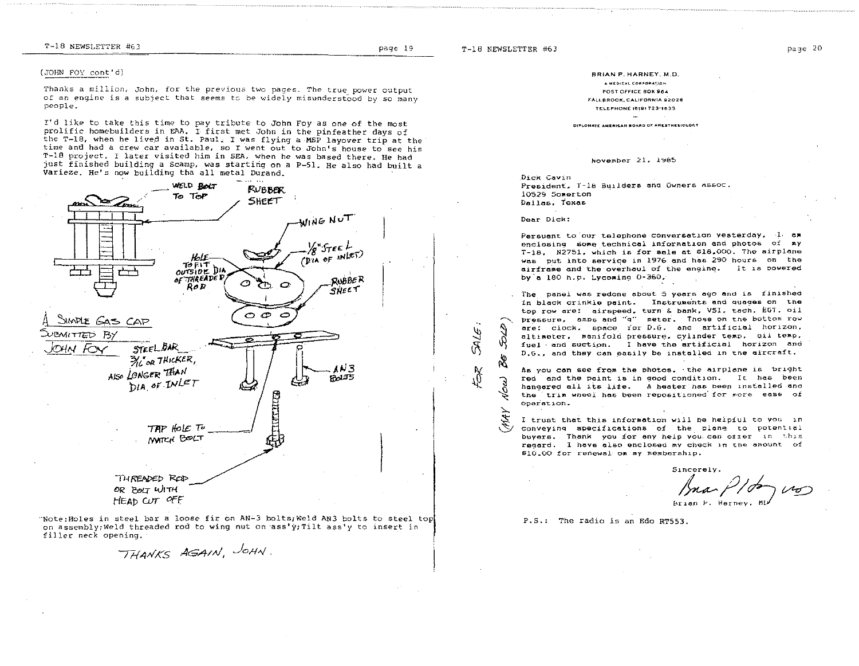T-18 NEWSLETTER #63

**SIRC** 

 $\int_{\mu}^{\mathcal{A}}$ 

R

 $\frac{1}{2}$ 

#### (JOHN FOY cont'd)

Thanks a million, John, for the previous two pages. The true power output of an engine is a subject that seems to be widely misunderstood by so many people.

I'd like to take this time to pay tribute to John Foy as one of the most prolific homebuilders in EAA. I first met John in the pinfeather days of the T-18, when he lived in St. Paul. I was flying a MSP layover trip at the time and had a crew car available, so I went out to John's house to see his T-18 project. I later visited him in SEA, when he was based there. He had just finished building a Scamp, was starting on a P-51. He also had built a Varieze. He's now building tha all metal Durand.



"Note: Holes in steel bar a loose fir on AN-3 bolts; Weld AN3 bolts to steel top on assembly; Weld threaded rod to wing nut on ass'y; Tilt ass'y to insert in filler neck opening.

THANKS AGAIN, JOHN.

BRIAN P. HARNEY, M.D. A HEDICAL CORPORATION POST OFFICE BOX 964 FALLBROOK, CALIFORNIA 92028 **TELEPHONE (619) 723-1633** DIFLONATE ANERICAN BOARD OF ANEXTHESIOLOGY

#### November 21, 1985

Dick Cavin President. T-18 Builders and Owners Assoc. 10529 Somerton Dallas, Texas

#### Dear Dick:

Persuant to our telephone conversation vesterday, I am enclosing some technical information and photos of my T-18. N2751, which is for sale at \$18,000. The airplane was put into service in 1976 and has 290 hours on the airframe and the overhaul of the engine. It is powered by a 180 h.p. Lycoming 0-360.

The panel was redone about 5 years ago and is finished in black crinkle paint. Instruments and quages on the top row are: airspeed, turn & bank, VSI, tach, EGT, oil pressure, amps and "q" meter. Those on the bottom row are: clock, space for D.G. and artificial horizon. altimeter, manifold pressure, cylinder temp, qil temp, fuel and suction. I have the artificial horizon and D.G., and they can easily be installed in the aircraft.

As you can see from the photos. the airplane is bright red and the paint is in good condition. It has been hangered all its life. A heater has been installed and the trim wheel has been repositioned for more ease of operation.

I trust that this information will be heipful to you in conveying specifications of the plane to potential buyers. Thank you for any help you can offer in this regard. I have also enclosed my check in the amount of \$10.00 for renewal on my membership.

ma Plon un

P.S.: The radio is an Edo RT553.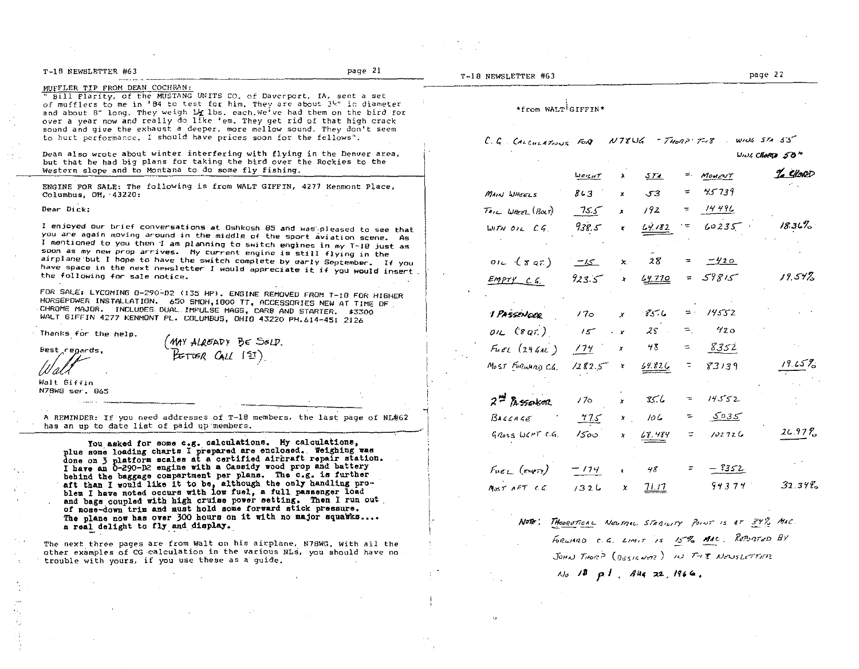| T-18 NEWSLETTER #63                                                                                                                                                                                                                                                                                                                                                                                                                                                                         | page 21 | T-18 NEWSLETTER #63                                              |                 |                  |             |                       |          | page 22                      |
|---------------------------------------------------------------------------------------------------------------------------------------------------------------------------------------------------------------------------------------------------------------------------------------------------------------------------------------------------------------------------------------------------------------------------------------------------------------------------------------------|---------|------------------------------------------------------------------|-----------------|------------------|-------------|-----------------------|----------|------------------------------|
| MUFFLER TIP FROM DEAN COCHRAN:<br>" Bill Flarity, of the MUSTANG UNITS CO, of Daverport, IA, sent a set<br>of mufflers to me in '84 to test for him. They are about 3k" in diameter<br>and about 8" long. They weigh 14 lbs, each. We've had them on the bird for<br>over a year now and really do like 'em. They get rid of that high crack<br>sound and give the exhaust a deeper, more mellow sound. They don't seem<br>to hurt performance. I should have prices soon for the fellows". |         | *from WALT GIFFIN*<br>$C.G.$ CALCULATIONS FOR NT8WG - THORP T-18 |                 |                  |             |                       |          | $W104$ $571$ $53$            |
| Dean also wrote about winter interfering with flying in the Denver area,<br>but that he had big plans for taking the bird over the Rockies to the                                                                                                                                                                                                                                                                                                                                           |         |                                                                  |                 |                  |             |                       |          | $WMSCHORD$ $50$ <sup>*</sup> |
| Western slope and to Montana to do some fly fishing.                                                                                                                                                                                                                                                                                                                                                                                                                                        |         |                                                                  | JERAT           |                  | <u>571 </u> | $=$ .                 | MOMENT   | % Chose                      |
| ENGINE FOR SALE: The following is from WALT GIFFIN, 4277 Kenmont Place,<br>Columbus, $OH, 43220$ :                                                                                                                                                                                                                                                                                                                                                                                          |         | MAIN WHEELS                                                      | 863             |                  | 53          | ÷.                    | 45739    |                              |
| Dear Dick:                                                                                                                                                                                                                                                                                                                                                                                                                                                                                  |         | $T$ <i>AIL Wheel</i> $(B\alpha t)$                               | 75.5            | $\mathbf{x}$     | 192         | $=$                   | 1449C    |                              |
| I enjoyed our brief conversations at Oshkosh 85 and was pleased to see that<br>you are again moving around in the middle of the sport aviation scene. As                                                                                                                                                                                                                                                                                                                                    |         | UITH OILCG                                                       | 938.5           |                  | 14.182      | ۰÷                    | 60235    | $18.31\%$                    |
| I mentioned to you then I am planning to switch engines in my T-18 just as<br>soon as my new prop arrives. My current engine is still flying in the<br>airplane but I hope to have the switch complete by early September. If you<br>have space in the next newsletter I would appreciate it if you would insert.                                                                                                                                                                           |         | one(xar)                                                         | ے ک             | Х.               | 28          |                       | -420     |                              |
| the following for sale notice.                                                                                                                                                                                                                                                                                                                                                                                                                                                              |         | $Empry$ $c, c$                                                   | 923.5           | $\boldsymbol{x}$ | 4.770       |                       | $=59815$ | 19.54%                       |
| FOR SALE: LYCOMING 0-290-D2 (135 HP). ENGINE REMOVED FROM T-18 FOR HIGHER<br>HORSEPOWER INSTALLATION, 650 SMOH,1800 TT, ACCESSORIES NEW AT TIME OF.<br>CHROME MAJOR. INCLUDES DUAL IMPULSE MAGS, CARB AND STARTER. \$3300<br>WALT GIFFIN 4277 KENMONT PL. COLUMBUS, OHIO 43220 PH.614-451 2126                                                                                                                                                                                              |         | <b>I PASSENDER</b>                                               | 17 <sub>o</sub> | x                | 85.6        | $=$ $-$               | 14552    |                              |
| Thanks for the help.                                                                                                                                                                                                                                                                                                                                                                                                                                                                        |         | $0.16$ (8 $0.7$ )                                                | 15              | $\mathbf{r}$     | $25 -$      | $=$ .                 | 420      |                              |
| (MAY ALREADY BE SOLD.<br>PETTER CALL 151)<br>Best regards.                                                                                                                                                                                                                                                                                                                                                                                                                                  |         | $F_{HEL}$ (294AL)                                                | 174             | $\boldsymbol{x}$ | 48          | ÷.                    | 8352     |                              |
|                                                                                                                                                                                                                                                                                                                                                                                                                                                                                             |         | $M0$ st Furwang C.G. 1282.5 x                                    |                 |                  | 64.826      | $\overline{z}$        | 83139    | $19.65\%$                    |
| Walt Giffin<br>N78WG ser. 865                                                                                                                                                                                                                                                                                                                                                                                                                                                               |         |                                                                  |                 |                  |             |                       |          |                              |
|                                                                                                                                                                                                                                                                                                                                                                                                                                                                                             |         | $2 - \hbar$ seeken                                               | 170             |                  | 85.6        |                       | 14552    |                              |
| A REMINDER: If you need addresses of T-18 members, the last page of NL#62<br>has an up to date list of paid up members.                                                                                                                                                                                                                                                                                                                                                                     |         | B44444                                                           | 775             | $\mathbf{x}$     | 106         | $\tilde{\phantom{a}}$ | 5035     |                              |
|                                                                                                                                                                                                                                                                                                                                                                                                                                                                                             |         | $G$ $\alpha$ ss WCHT $C$ .                                       | 1500            |                  | 68.484      |                       | 102726   | $26.97\%$                    |
| You asked for some c.g. calculations. My calculations,<br>plus some loading charts I prepared are enclosed. Weighing was<br>done on 3 platform scales at a certified aircraft repair station.<br>I have an 0-290-D2 engine with a Cassidy wood prop and battery                                                                                                                                                                                                                             |         | $F_{\text{WEL}}$ (every)                                         | $-174$          |                  | 48          |                       | - 9352   |                              |
| behind the baggage compartment per plans. The c.g. is further<br>aft than I would like it to be, although the only handling pro-<br>blem I have noted occurs with low fuel, a full passenger load                                                                                                                                                                                                                                                                                           |         | M <sub>05</sub> T A T C G                                        | 1326            | x                | 71.17       |                       | 94374    | 32.34%                       |

behind the baggage compartment per plaus. The case of the said in pro-<br>hit than I would like it to be, although the only hadding pro-<br>help I have noted occurs with low fuel, a full passenger load<br>and bags coupled with high or nose-down trim and must noid some forward stick pressure.<br>The plane now has over 300 hours on it with no major squawks....<br>a real delight to fly and display.

The next three pages are from walt on his airplane, N78WG. with all the other examples of CG calculation in the various NLs, you should have no trouble with yours, if you use these as a guide.

Note: Theogotical Neumal Staquity Point is 47 34% MAC.  $f$ <sup>02</sup>  $\omega$ AD (  $\zeta$ , Limit is  $\sqrt{z}$  on the Reibated By  $J_{QH}$  $J_{QH}$  / $J_{QH}$  / $J_{QH}$  / $J_{H}$  / $J_{H}$  / $J_{H}$  / $J_{H}$  / $J_{H}$  $\omega_0$  18 pl.  $Au_4$  22, 1966.

k,

I. i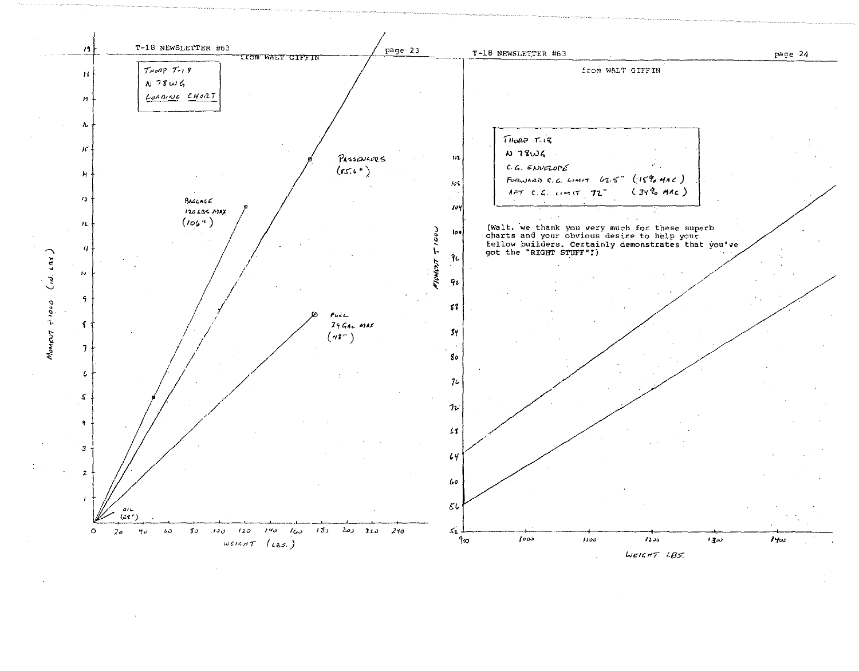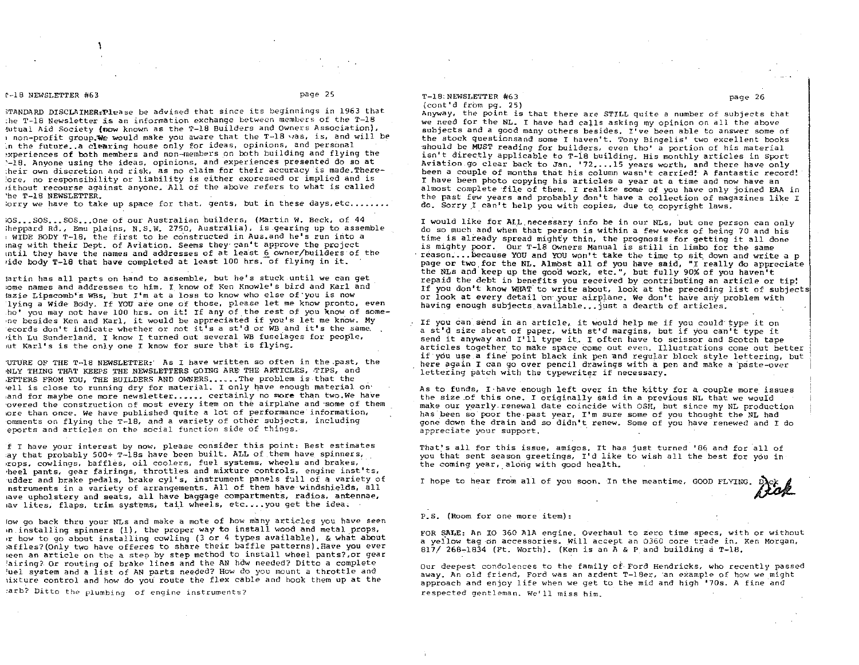#### r-18 NEWSLETTER #63 page 25

,TANDARD DISCLAIMERtPlease be advised that since its beginnings in 1963 that  $i$ he T-18 Newsletter is an information exchange between members of the T-18 1utual Aid Society (now known as the T-18 Builders and Owners Association), I non-profit group. We would make you aware that the T-18 was, is, and will be in the future .. a clearing house only for ideas, opinions, and personal ,xperiences of both members and non-members on both building and flying the '-lB. Anyone using the ideas, opinions. and experiences presented do so at :heir own discretion and risk, as no claim for their accuracy is made. There- :ore, no responsibility or liability is either exoressed or implied and is lithout recourse against anyone. All of the above refers to what is called 'he T-18 NEWSLETTER.

 $j$ orry we have to take up space for that, gents, but in these days, etc........

 $i$ OS... SOS... SOS... One of our Australian builders, (Martin W. Beck, of 44 ;heppard  $Rd_{\rm{L}}$ , Emu plains,  $N_{\rm{L}} S_{\rm{L}} W_{\rm{L}}$  2750, Australia), is gearing up to assemble I WIDE BODY T-18, the first to be constructed in Aus. and he's run into a inag with their Dept. of Aviation. Seems they' can't approve the project lntil they have the names and addresses of at lea'st 6 owner/builders of the ,ide body T-18 that have completed at least 100 hrs.-of flying in it.

lartin has all parts on hand to assemble, but he's stuck until we can get lome names and addresses to him. I know of Ken Knowle's bird and Karl and tazie Lipscomb's WEs, "but I'm at a loss to know who else of-you is now lying a Wide- Bddy. If YOU are one of those, please let me know pronto, even ho' you may not *have* 100 hrs. on it! If any of the rest of you know of some- .ne besides Ken and Karl, it would be appreciated if you's let me know. My ecords don't indicate whether or not  $i\tilde{t}^i$ s a st'd or WB and it's the same, ,ith Lu Sunderland. I know I turned out several WB fuselages for people, at Karl's is the only one I know for sure that is flying.

'UTURE OF THE T-18 NEWSLETTER:" As I have written so often in the \_past, the NLY THING THAT KEEPS THE NEWSLETTERS GOING ARE THE ARTICLES, TIPS, and ,ETTERS FROM YOU, THE BUILDERS AND OWNERS ••. ~ •• The problem is that the .ell is close to running dry for material. I only have enough material on' and for maybe one more newsletter ...... certainly no more than two.We have overed the construction of most every item on the airplane and some of them lore than once. We have published quite a lot of performance information, omments on flying the T-18, and a variety of other subjects, including eports and articles on the social function side of things.

f I have your interest by now, please consider this point: Best estimates ,ay that probably 500+ T-18s have been built. ALL of them have spinners, ,rops, cowlings, baffles, oil coolers, fuel systems, wheels and brakes, 'heel pants, gear fairings, throttles and mixture controls, engine inst'ts, udder and brake pedals, brake cyl's, instrument panels full of a variety of nstruments in a variety of arrangements. All of them have windshields, all lave upholstery and seats, all have baggage compartments, radios, antennae, lav lites, flaps, trim systems. tail wheels, etc....you get the idea.

lOW go back thru your NLs and make a mote of how many articles you have seen ,n,installing spinners (1), the proper way to install wood and metal props, ,r how to go about installing cowling (3 or 4 types available), & what about laffles?(Only two have offeres to share their baffle patterns}4Have you *ever*  ieen an article on the a step by step method to install wheel pants?,or gear 'airing?, Or routing of brake lines and the AN hdw needed? Ditto a complete 'uel system and a list of AN parts needed? How do you mount a throttle and lixture control and how do you' route the flex cable and hook them up at the

:arb? Ditto the plumbing of engine instruments?

#### T-18:NEWSLETTER #63 page 26 (cont'd from pg. 25)

Anyway, the point is that there are STILL quite a number of subjects that we need for the NL. I *have* bad calls asking my opinion on all the above subjects and a good many others besides. *I've* been able to answer some of the stock questionsand some I haven't. Tony Bingelis' two excellent books should be MUST reading for builders, even tho' a portion of his material isn't directly applicable to T-lB building. His monthly articles in sport Aviation go clear back to Jan. '72, ... 15 years worth, and there have only been a couple of months that his column wasn't carried!' A fantastic record! I have been photo copying his articles a year at a time and now have an almost complete file of them. I realize some of you have only joined EAA in the past few years and probably don't have a collection of magazines like I do. Sorry.I can't help you with copies, due *to\_* copyright laws.

I would like for ALL necessary info be in our NLs, but one person can only do so much and when that person is within a few weeks of being 70 and his time is already spread mighty thin, the prognosis for getting it all done is mighty poor. Our T-18 OWners Manual is still in limbo for the same reason.... because YOU and YOU won't take the time to sit down and write a p page or two, for the NL. Almbst all of you have said, "I really do appreciate the NLs and keep up the good work, etc.", but fully 90% of you haven't repaid the debt in benefits you received by contributing an article or tip! If you don't know WHAT to write about, look at the preceding list of subjects or look at every detail on your airplane. We don't have any problem with having enough subjects available... just a dearth of articles.

If you can send in an article, *it* would help me if you could- type it on a st'd size sheet of paper, with st'd margins, but if you can't type it send it anyway and I'll type it. I often have to scissor and Scotch tape articles together to make space come out even. Illustrations come out better if you use a fine' point black ink pen 'and regular block style lettering, but here again I can go *over* pencil drawings with a pen and make a 'paste-over lettering patch with the typewriter if necessary.

As to funds, I-have enough left *over* in the kitty for a couple more issues the size.of this one. I originally said in a previous NL that we would make our yearly renewal date coincide with OSH, but since my NL production has been so poor the past year, I'm sure some of you thought the NL had gone' dowp the drain and so didn't renew. Some of you have renewed and I do 3.Fpreciate *your* support. .

That's all for this issue, amigos. It has just turned '86 and for all of you that sent season greetings, I'd like to wish all the best for you in the coming year, along with good health.

I hope to hear from all of you soon. In the meantime, GOOD FLYING.

P. S. (Room for one more item):

FOR SALE: An 10 360 AlA engine. Overhaul to zero time specs, with or without a yellow tag on accessories. will accept an 0360 core trade in. Ken Morgan, 817/268-1834 (Ft. Worth). (Ken is an A & P and building a  $T-18$ .

Our deepest condolences to the family of, Ford Hendricks, who recently passed away. An old friend, Ford was an ardent T-18er, an example of how we might approach and enjoy life when we get to the mid and high '70s. A fine and respected gentleman. We'll miss him.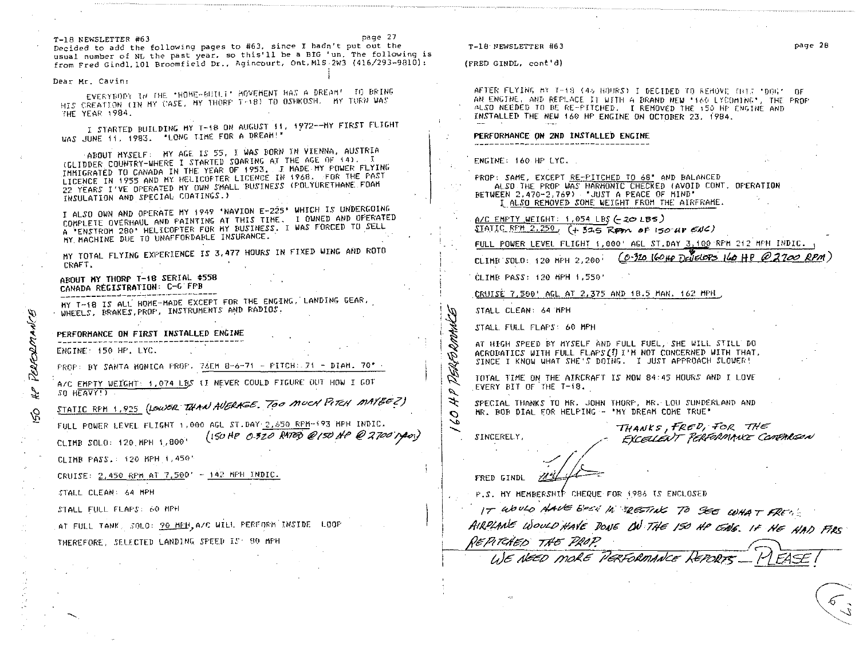T-18 NEWSLETTER #63 page 27 Decided to add the following pages to #63, since I hadn't put out the usual number of NL the past year, so this'll be a BIG 'un. The following is from Fred Gindl, 101 Broomfield Dr., Agincourt, Ont, M1S-2W3 (416/293-9810):

#### Dear Mr. *Cavin:*

EVERYBODY (# THE 'HOME~BITLI' AGVEMENT HAS A DREAM' TO BRING HIS CREATION (IN MY CASE, MY THORP TH(8) TO OSHKOSH. MY TURN WAS fHE YEAr;: ,994.

1. STARTED BUILDING MY T-18 ON AUGUST 11, 1972--MY FIRST FLIGHT UAS JUNE 11, 1983. "LONG TIME FOR A DREAM!"

ABOUT MYSELF: MY AGE IS 55, I WAS BORN IN VIENNA, AUSTRIA (GLIDDER COUNTRY-WHERE I STARTED SOARING AT THE AGE OF 14), I IMMIGRATED TO CANADA IN THE YEAR OF 1953. I MADE-MY FOWER FLYING LICENCE IN 1955 AND MY HELICOPTER LICENCE IN 1968. FOR THE PAST 22 YEARS I'VE OFERATED MY OWN SMALL BUSINESS (POLYURETHANE FOAM INSULATION AND SPECIAL COATINGS.)

I ALSO OWN AND OPERATE MY 1949 'NAVION £-225' WHICH IS UN'DERGOING L HLSD DWR AND GLENTIL MAINTING AT THIS TIME. I OWNED AND OFERATED LUGELE OVERHANDE HRO FILLO FOR MY BUSINESS. I WAS FORCED TO SELL MY. MACHINE DUE TO UNAFFORDABLE INSURANCE.

MY TOTAL FLYING EXPERIENCE IS 3,477 HOURS IN FIXED WING AND ROTO CRAFT.

# ABOUT MY THORP T-18 SERIAL #558<br>CANADA REGISTRATION: C-G'FPB

NY T-18 IS ALL HOME-MADE EXCEPT FOR THE ENGING, LANDING GEAR, WHEELS, BRAKES, PROP, INSTRUMENTS AND RADIOS.

PERFORMANCE ON FIRST INSTALLED ENGINE

ENGINE: 150 HF. LYC.

 $\sigma$ ~

~

 $\bar{a}$ 

 $FROF: BY$  SANTA MONICA  $PROF$ ,  $7\delta EMB - 6-71 - FITCH: 71 - DIAH. 70'$ 

**12 PERFIC<br>12 PROP TRIGHT** A/C EMPTY WEIGHT: 1,074 LBS (I NEVER COULD FIGURE OUT HOW I GOT  $SO$  HEAVY! $\Sigma$ 

STATIC RFM 1,925 (LOWER THAN AVERAGE, TOO MUCH PITCH MAYEEZ)

FULL POWER LEVEL FLIGHT 1,000 AGL ST. DAY 2, 550 REM-193 MPH INDIC. CLIMB SOLO: 120.MFH 1,800' (ISOHP 0-320 RATED @/SONe @ 2700 nyeo;)

CLIMB PASS.: 120 MPH 1,450'

CRUISE: <u>2,450 RPM AT 7,50</u>0' - <u>142 MPH INDIC.</u>

STALL CLEAN: 64 Mf'H

---.

STALL FULL FLAPS: 60 MPH

AT FULL TANK, SOLO: 20 HEH, A/C WILL FEREDRN INSIDE LOOP

THEREF ORE, SEl.f,CTED LANDl~~G, SF'EEII *IS'* ~1r;1 MPH

#### T-lS'PEWSLETTER #63 page 28

(FRED GINDL, cont'd)

AFTER FLYING AY T-18 (45 HOURS) I DECIDED TO REHOVE THIS "DOG". OF AN ENGINE, AND REFLACE IT WITH A BRAND NEW '160 LYCOMING', THE FROF ALSO NEEDED TO BE RE-FITCHED. I REMOVED THE 150 HP ENGINE AND INSTALLED THE NEW 160 HF ENGINE ON OCTORER 23, 1984.

### PERFORMANCE ON 2ND INSTALLED ENGINE

ENGINE: 160 HP LYC.

PROP: SAME, EXCEPT RE-F'ITCHED TO 68" AND BALANCED ALSO THE PROP WAS HARMONIC CHECKED (AVOID CONT. OPERATION BETWEEN 2.470-2,769) ·JUST A PEACE OF MIND" t.ALSO REMOVED SOME: WEIGHT FROM THE AIRFRAME.

A/C EMPTY WEIGHT: 1,054 LBS  $(-20.185)$  $STATIC$  $RFH$  2.250,  $(+ 315$  KPM of 150 HP  $ENC$ )

FULL POWER LEVEL FLIGHT 1,000' AGL ST.DAY 3,100 RPH 212 MPH INDIC.

CLIMB<sup>50LO</sup>: 120 MPH 2,200; (0.320 160HP Deficiors 160 HP @2700 RPM

CLIMB PASS: 120 MPH 1 J 550'

.CRUISE 7,~OO' AGL AT 2,375 AND 18.5 HAN, 162 MPH

STALL CLEAN: 64 MF'H

.<br>B<br>2014 STALl. FULL FLAPS' 60 MPH

AT HIGH SPEED BY MYSELF AND FULL FUEL, SHE WILL STILL DO ACROBATICS WITH FULL FLAFS (!) I'M NOT CONCERNED WITH THAT, SINCE I KNOW WHAT SHE'S DOING. I JUST APPROACH SLOWER!

rolAL TIME: ON THE AIRCRAFT IS NOW 84: 45 HOURS AND I l.OVE" .EVERY BIT OF THE T-18.

SPECIAL THANKS TO HR. JOHN THORF, HR. LOU SUNDERLAND AND HR. BOB DIAL FOR HELPING - "MY DREAM COME TRUE"

 $\frac{1}{\sqrt{2}}$ 

SINCERELY,

o DERE

I~ I~

ユ

 $THE$ , FRED, FOR THE EXCELLENT PERFORMANCE COMPARGON

FRED GINDL  $\frac{1}{4}$  $\leftharpoonup$ 

P.S. MY MEMBERSHIP CHEQUE FOR 1986 IS ENCLOSED

IT WOULD HAVE BEST IN ERESTIAL TO SEE WHAT FREM:

AIRPLANE WOULD HAVE DONE ON THE 150 HP ENG. IF HE HAD FIRS *J¥/?M5",* ~ hf*<sup>d</sup>*  $\frac{1}{4}$  . Then  $\frac{1}{4}$ <br> $\frac{1}{4}$  . The  $\frac{1}{4}$  fixed in the  $\frac{1}{4}$ 

*. tJ6* ~t!/ /J1~~t!i */?*  ,<br>PGRFORMANCE<sup>,</sup> REPORTS . *\_\_* 

 $\sqrt{2}$